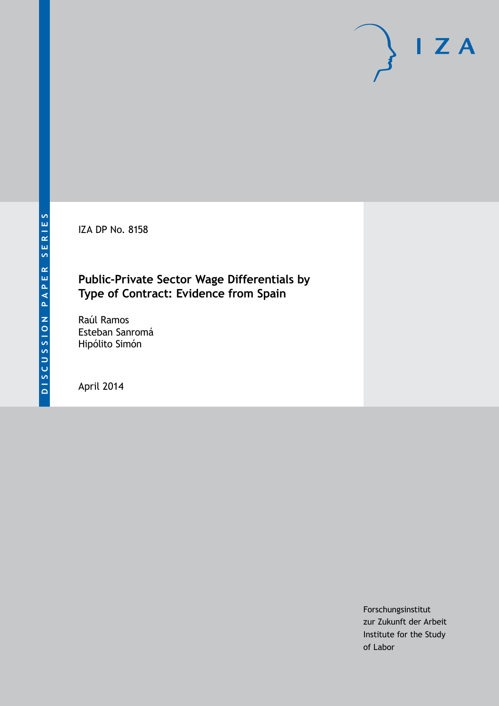IZA DP No. 8158

## **Public-Private Sector Wage Differentials by Type of Contract: Evidence from Spain**

Raúl Ramos Esteban Sanromá Hipólito Simón

April 2014

Forschungsinstitut zur Zukunft der Arbeit Institute for the Study of Labor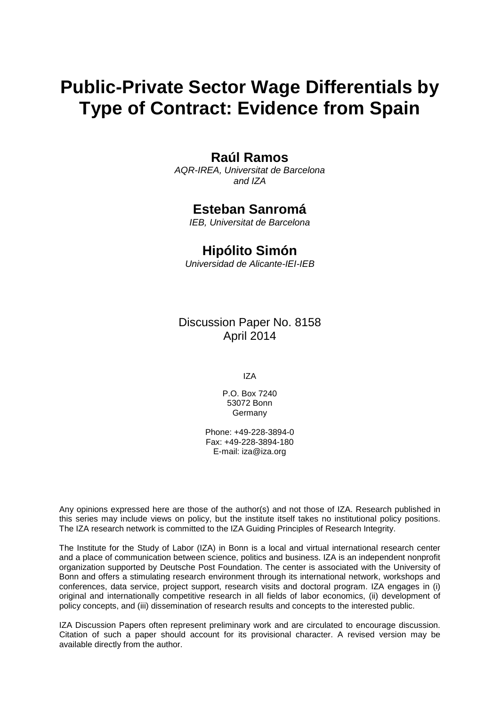# **Public-Private Sector Wage Differentials by Type of Contract: Evidence from Spain**

## **Raúl Ramos**

*AQR-IREA, Universitat de Barcelona and IZA*

### **Esteban Sanromá**

*IEB, Universitat de Barcelona*

### **Hipólito Simón**

*Universidad de Alicante-IEI-IEB*

Discussion Paper No. 8158 April 2014

IZA

P.O. Box 7240 53072 Bonn Germany

Phone: +49-228-3894-0 Fax: +49-228-3894-180 E-mail: [iza@iza.org](mailto:iza@iza.org)

Any opinions expressed here are those of the author(s) and not those of IZA. Research published in this series may include views on policy, but the institute itself takes no institutional policy positions. The IZA research network is committed to the IZA Guiding Principles of Research Integrity.

The Institute for the Study of Labor (IZA) in Bonn is a local and virtual international research center and a place of communication between science, politics and business. IZA is an independent nonprofit organization supported by Deutsche Post Foundation. The center is associated with the University of Bonn and offers a stimulating research environment through its international network, workshops and conferences, data service, project support, research visits and doctoral program. IZA engages in (i) original and internationally competitive research in all fields of labor economics, (ii) development of policy concepts, and (iii) dissemination of research results and concepts to the interested public.

<span id="page-1-0"></span>IZA Discussion Papers often represent preliminary work and are circulated to encourage discussion. Citation of such a paper should account for its provisional character. A revised version may be available directly from the author.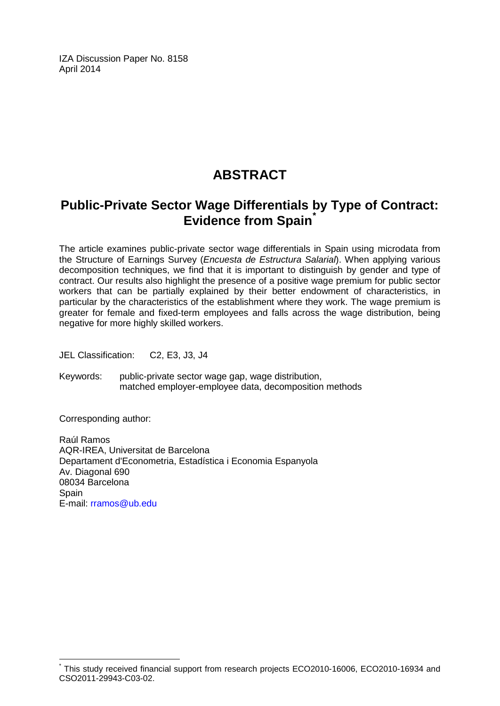IZA Discussion Paper No. 8158 April 2014

## **ABSTRACT**

## **Public-Private Sector Wage Differentials by Type of Contract: Evidence from Spain[\\*](#page-1-0)**

The article examines public-private sector wage differentials in Spain using microdata from the Structure of Earnings Survey (*Encuesta de Estructura Salarial*). When applying various decomposition techniques, we find that it is important to distinguish by gender and type of contract. Our results also highlight the presence of a positive wage premium for public sector workers that can be partially explained by their better endowment of characteristics, in particular by the characteristics of the establishment where they work. The wage premium is greater for female and fixed-term employees and falls across the wage distribution, being negative for more highly skilled workers.

JEL Classification: C2, E3, J3, J4

Keywords: public-private sector wage gap, wage distribution, matched employer-employee data, decomposition methods

Corresponding author:

Raúl Ramos AQR-IREA, Universitat de Barcelona Departament d'Econometria, Estadística i Economia Espanyola Av. Diagonal 690 08034 Barcelona **Spain** E-mail: [rramos@ub.edu](mailto:rramos@ub.edu)

This study received financial support from research projects ECO2010-16006, ECO2010-16934 and CSO2011-29943-C03-02.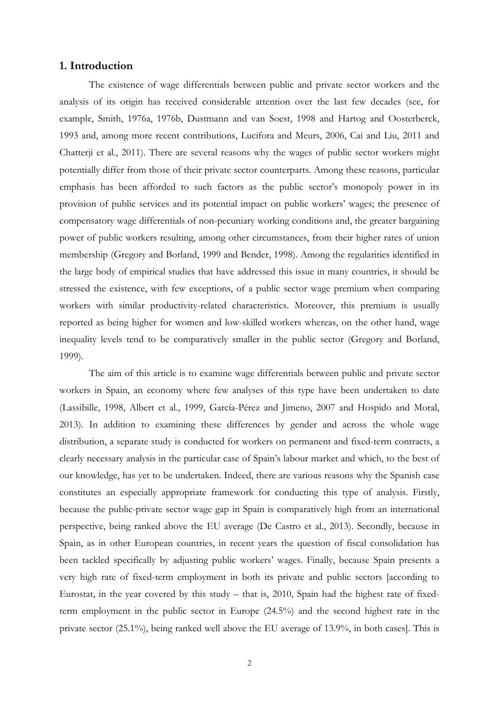#### **1. Introduction**

The existence of wage differentials between public and private sector workers and the analysis of its origin has received considerable attention over the last few decades (see, for example, Smith, 1976a, 1976b, Dustmann and van Soest, 1998 and Hartog and Oosterberck, 1993 and, among more recent contributions, Lucifora and Meurs, 2006, Cai and Liu, 2011 and Chatterji et al., 2011). There are several reasons why the wages of public sector workers might potentially differ from those of their private sector counterparts. Among these reasons, particular emphasis has been afforded to such factors as the public sector's monopoly power in its provision of public services and its potential impact on public workers' wages; the presence of compensatory wage differentials of non-pecuniary working conditions and, the greater bargaining power of public workers resulting, among other circumstances, from their higher rates of union membership (Gregory and Borland, 1999 and Bender, 1998). Among the regularities identified in the large body of empirical studies that have addressed this issue in many countries, it should be stressed the existence, with few exceptions, of a public sector wage premium when comparing workers with similar productivity-related characteristics. Moreover, this premium is usually reported as being higher for women and low-skilled workers whereas, on the other hand, wage inequality levels tend to be comparatively smaller in the public sector (Gregory and Borland, 1999).

The aim of this article is to examine wage differentials between public and private sector workers in Spain, an economy where few analyses of this type have been undertaken to date (Lassibille, 1998, Albert et al., 1999, García-Pérez and Jimeno, 2007 and Hospido and Moral, 2013). In addition to examining these differences by gender and across the whole wage distribution, a separate study is conducted for workers on permanent and fixed-term contracts, a clearly necessary analysis in the particular case of Spain's labour market and which, to the best of our knowledge, has yet to be undertaken. Indeed, there are various reasons why the Spanish case constitutes an especially appropriate framework for conducting this type of analysis. Firstly, because the public-private sector wage gap in Spain is comparatively high from an international perspective, being ranked above the EU average (De Castro et al., 2013). Secondly, because in Spain, as in other European countries, in recent years the question of fiscal consolidation has been tackled specifically by adjusting public workers' wages. Finally, because Spain presents a very high rate of fixed-term employment in both its private and public sectors [according to Eurostat, in the year covered by this study – that is, 2010, Spain had the highest rate of fixedterm employment in the public sector in Europe (24.5%) and the second highest rate in the private sector (25.1%), being ranked well above the EU average of 13.9%, in both cases]. This is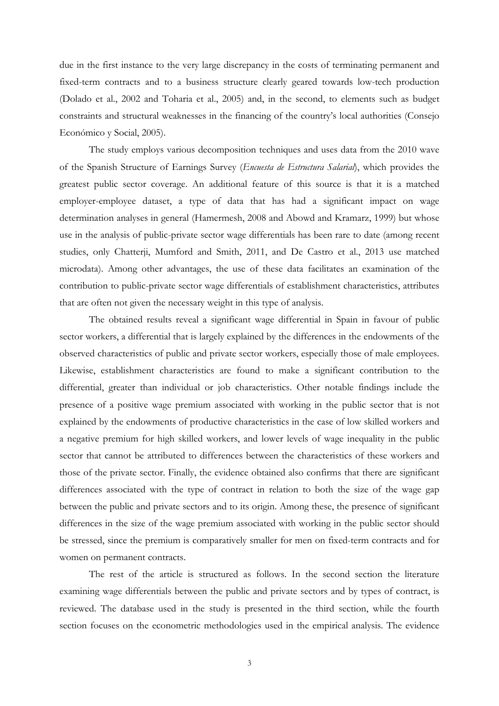due in the first instance to the very large discrepancy in the costs of terminating permanent and fixed-term contracts and to a business structure clearly geared towards low-tech production (Dolado et al., 2002 and Toharia et al., 2005) and, in the second, to elements such as budget constraints and structural weaknesses in the financing of the country's local authorities (Consejo Económico y Social, 2005).

The study employs various decomposition techniques and uses data from the 2010 wave of the Spanish Structure of Earnings Survey (*Encuesta de Estructura Salarial*), which provides the greatest public sector coverage. An additional feature of this source is that it is a matched employer-employee dataset, a type of data that has had a significant impact on wage determination analyses in general (Hamermesh, 2008 and Abowd and Kramarz, 1999) but whose use in the analysis of public-private sector wage differentials has been rare to date (among recent studies, only Chatterji, Mumford and Smith, 2011, and De Castro et al., 2013 use matched microdata). Among other advantages, the use of these data facilitates an examination of the contribution to public-private sector wage differentials of establishment characteristics, attributes that are often not given the necessary weight in this type of analysis.

The obtained results reveal a significant wage differential in Spain in favour of public sector workers, a differential that is largely explained by the differences in the endowments of the observed characteristics of public and private sector workers, especially those of male employees. Likewise, establishment characteristics are found to make a significant contribution to the differential, greater than individual or job characteristics. Other notable findings include the presence of a positive wage premium associated with working in the public sector that is not explained by the endowments of productive characteristics in the case of low skilled workers and a negative premium for high skilled workers, and lower levels of wage inequality in the public sector that cannot be attributed to differences between the characteristics of these workers and those of the private sector. Finally, the evidence obtained also confirms that there are significant differences associated with the type of contract in relation to both the size of the wage gap between the public and private sectors and to its origin. Among these, the presence of significant differences in the size of the wage premium associated with working in the public sector should be stressed, since the premium is comparatively smaller for men on fixed-term contracts and for women on permanent contracts.

The rest of the article is structured as follows. In the second section the literature examining wage differentials between the public and private sectors and by types of contract, is reviewed. The database used in the study is presented in the third section, while the fourth section focuses on the econometric methodologies used in the empirical analysis. The evidence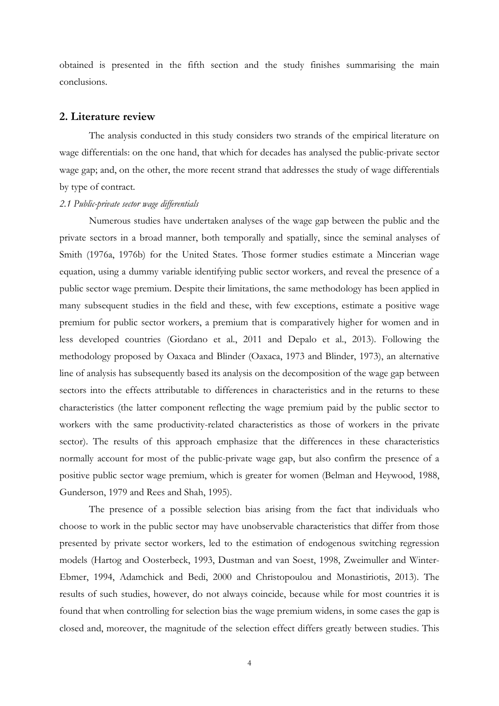obtained is presented in the fifth section and the study finishes summarising the main conclusions.

#### **2. Literature review**

The analysis conducted in this study considers two strands of the empirical literature on wage differentials: on the one hand, that which for decades has analysed the public-private sector wage gap; and, on the other, the more recent strand that addresses the study of wage differentials by type of contract.

#### *2.1 Public-private sector wage differentials*

Numerous studies have undertaken analyses of the wage gap between the public and the private sectors in a broad manner, both temporally and spatially, since the seminal analyses of Smith (1976a, 1976b) for the United States. Those former studies estimate a Mincerian wage equation, using a dummy variable identifying public sector workers, and reveal the presence of a public sector wage premium. Despite their limitations, the same methodology has been applied in many subsequent studies in the field and these, with few exceptions, estimate a positive wage premium for public sector workers, a premium that is comparatively higher for women and in less developed countries (Giordano et al., 2011 and Depalo et al., 2013). Following the methodology proposed by Oaxaca and Blinder (Oaxaca, 1973 and Blinder, 1973), an alternative line of analysis has subsequently based its analysis on the decomposition of the wage gap between sectors into the effects attributable to differences in characteristics and in the returns to these characteristics (the latter component reflecting the wage premium paid by the public sector to workers with the same productivity-related characteristics as those of workers in the private sector). The results of this approach emphasize that the differences in these characteristics normally account for most of the public-private wage gap, but also confirm the presence of a positive public sector wage premium, which is greater for women (Belman and Heywood, 1988, Gunderson, 1979 and Rees and Shah, 1995).

The presence of a possible selection bias arising from the fact that individuals who choose to work in the public sector may have unobservable characteristics that differ from those presented by private sector workers, led to the estimation of endogenous switching regression models (Hartog and Oosterbeck, 1993, Dustman and van Soest, 1998, Zweimuller and Winter-Ebmer, 1994, Adamchick and Bedi, 2000 and Christopoulou and Monastiriotis, 2013). The results of such studies, however, do not always coincide, because while for most countries it is found that when controlling for selection bias the wage premium widens, in some cases the gap is closed and, moreover, the magnitude of the selection effect differs greatly between studies. This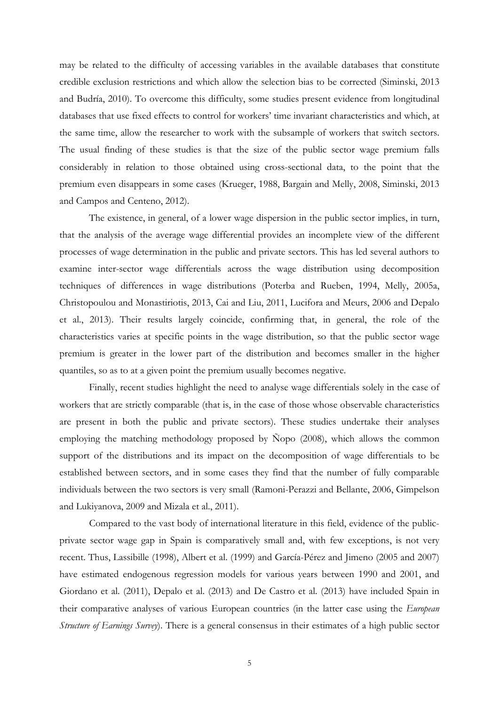may be related to the difficulty of accessing variables in the available databases that constitute credible exclusion restrictions and which allow the selection bias to be corrected (Siminski, 2013 and Budría, 2010). To overcome this difficulty, some studies present evidence from longitudinal databases that use fixed effects to control for workers' time invariant characteristics and which, at the same time, allow the researcher to work with the subsample of workers that switch sectors. The usual finding of these studies is that the size of the public sector wage premium falls considerably in relation to those obtained using cross-sectional data, to the point that the premium even disappears in some cases (Krueger, 1988, Bargain and Melly, 2008, Siminski, 2013 and Campos and Centeno, 2012).

The existence, in general, of a lower wage dispersion in the public sector implies, in turn, that the analysis of the average wage differential provides an incomplete view of the different processes of wage determination in the public and private sectors. This has led several authors to examine inter-sector wage differentials across the wage distribution using decomposition techniques of differences in wage distributions (Poterba and Rueben, 1994, Melly, 2005a, Christopoulou and Monastiriotis, 2013, Cai and Liu, 2011, Lucifora and Meurs, 2006 and Depalo et al., 2013). Their results largely coincide, confirming that, in general, the role of the characteristics varies at specific points in the wage distribution, so that the public sector wage premium is greater in the lower part of the distribution and becomes smaller in the higher quantiles, so as to at a given point the premium usually becomes negative.

Finally, recent studies highlight the need to analyse wage differentials solely in the case of workers that are strictly comparable (that is, in the case of those whose observable characteristics are present in both the public and private sectors). These studies undertake their analyses employing the matching methodology proposed by Ñopo (2008), which allows the common support of the distributions and its impact on the decomposition of wage differentials to be established between sectors, and in some cases they find that the number of fully comparable individuals between the two sectors is very small (Ramoni-Perazzi and Bellante, 2006, Gimpelson and Lukiyanova, 2009 and Mizala et al., 2011).

Compared to the vast body of international literature in this field, evidence of the publicprivate sector wage gap in Spain is comparatively small and, with few exceptions, is not very recent. Thus, Lassibille (1998), Albert et al. (1999) and García-Pérez and Jimeno (2005 and 2007) have estimated endogenous regression models for various years between 1990 and 2001, and Giordano et al. (2011), Depalo et al. (2013) and De Castro et al. (2013) have included Spain in their comparative analyses of various European countries (in the latter case using the *European Structure of Earnings Survey*). There is a general consensus in their estimates of a high public sector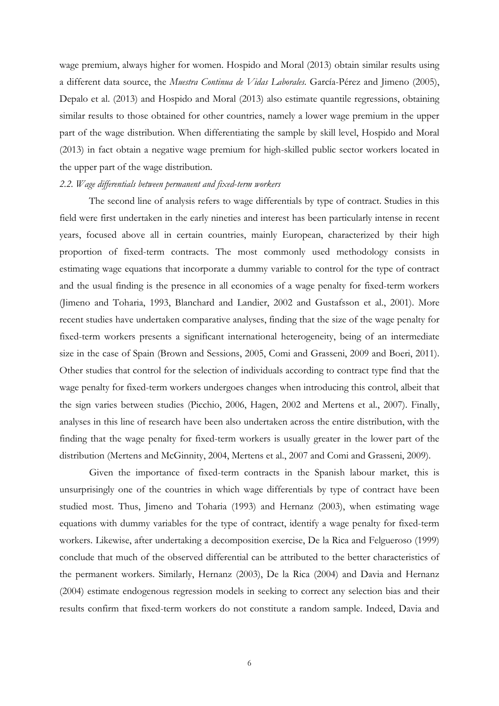wage premium, always higher for women. Hospido and Moral (2013) obtain similar results using a different data source, the *Muestra Continua de Vidas Laborales*. García-Pérez and Jimeno (2005), Depalo et al. (2013) and Hospido and Moral (2013) also estimate quantile regressions, obtaining similar results to those obtained for other countries, namely a lower wage premium in the upper part of the wage distribution. When differentiating the sample by skill level, Hospido and Moral (2013) in fact obtain a negative wage premium for high-skilled public sector workers located in the upper part of the wage distribution.

#### *2.2. Wage differentials between permanent and fixed*-*term workers*

The second line of analysis refers to wage differentials by type of contract. Studies in this field were first undertaken in the early nineties and interest has been particularly intense in recent years, focused above all in certain countries, mainly European, characterized by their high proportion of fixed-term contracts. The most commonly used methodology consists in estimating wage equations that incorporate a dummy variable to control for the type of contract and the usual finding is the presence in all economies of a wage penalty for fixed-term workers (Jimeno and Toharia, 1993, Blanchard and Landier, 2002 and Gustafsson et al., 2001). More recent studies have undertaken comparative analyses, finding that the size of the wage penalty for fixed-term workers presents a significant international heterogeneity, being of an intermediate size in the case of Spain (Brown and Sessions, 2005, Comi and Grasseni, 2009 and Boeri, 2011). Other studies that control for the selection of individuals according to contract type find that the wage penalty for fixed-term workers undergoes changes when introducing this control, albeit that the sign varies between studies (Picchio, 2006, Hagen, 2002 and Mertens et al., 2007). Finally, analyses in this line of research have been also undertaken across the entire distribution, with the finding that the wage penalty for fixed-term workers is usually greater in the lower part of the distribution (Mertens and McGinnity, 2004, Mertens et al., 2007 and Comi and Grasseni, 2009).

Given the importance of fixed-term contracts in the Spanish labour market, this is unsurprisingly one of the countries in which wage differentials by type of contract have been studied most. Thus, Jimeno and Toharia (1993) and Hernanz (2003), when estimating wage equations with dummy variables for the type of contract, identify a wage penalty for fixed-term workers. Likewise, after undertaking a decomposition exercise, De la Rica and Felgueroso (1999) conclude that much of the observed differential can be attributed to the better characteristics of the permanent workers. Similarly, Hernanz (2003), De la Rica (2004) and Davia and Hernanz (2004) estimate endogenous regression models in seeking to correct any selection bias and their results confirm that fixed-term workers do not constitute a random sample. Indeed, Davia and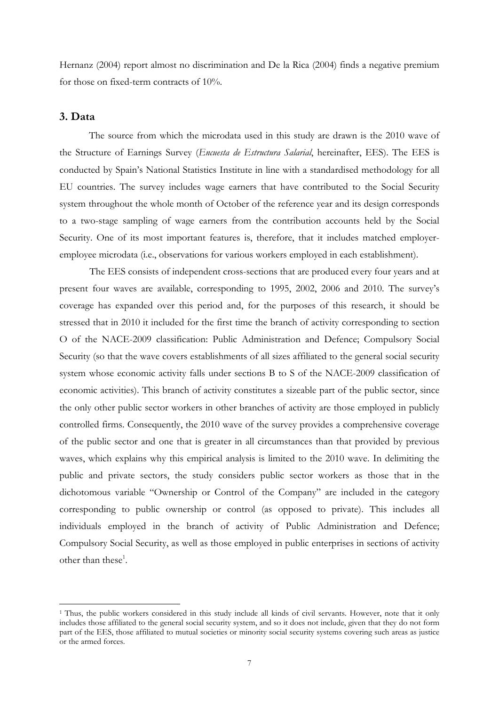Hernanz (2004) report almost no discrimination and De la Rica (2004) finds a negative premium for those on fixed-term contracts of 10%.

#### **3. Data**

1

The source from which the microdata used in this study are drawn is the 2010 wave of the Structure of Earnings Survey (*Encuesta de Estructura Salarial*, hereinafter, EES). The EES is conducted by Spain's National Statistics Institute in line with a standardised methodology for all EU countries. The survey includes wage earners that have contributed to the Social Security system throughout the whole month of October of the reference year and its design corresponds to a two-stage sampling of wage earners from the contribution accounts held by the Social Security. One of its most important features is, therefore, that it includes matched employeremployee microdata (i.e., observations for various workers employed in each establishment).

The EES consists of independent cross-sections that are produced every four years and at present four waves are available, corresponding to 1995, 2002, 2006 and 2010. The survey's coverage has expanded over this period and, for the purposes of this research, it should be stressed that in 2010 it included for the first time the branch of activity corresponding to section O of the NACE-2009 classification: Public Administration and Defence; Compulsory Social Security (so that the wave covers establishments of all sizes affiliated to the general social security system whose economic activity falls under sections B to S of the NACE-2009 classification of economic activities). This branch of activity constitutes a sizeable part of the public sector, since the only other public sector workers in other branches of activity are those employed in publicly controlled firms. Consequently, the 2010 wave of the survey provides a comprehensive coverage of the public sector and one that is greater in all circumstances than that provided by previous waves, which explains why this empirical analysis is limited to the 2010 wave. In delimiting the public and private sectors, the study considers public sector workers as those that in the dichotomous variable "Ownership or Control of the Company" are included in the category corresponding to public ownership or control (as opposed to private). This includes all individuals employed in the branch of activity of Public Administration and Defence; Compulsory Social Security, as well as those employed in public enterprises in sections of activity other than these<sup>1</sup>.

<sup>1</sup> Thus, the public workers considered in this study include all kinds of civil servants. However, note that it only includes those affiliated to the general social security system, and so it does not include, given that they do not form part of the EES, those affiliated to mutual societies or minority social security systems covering such areas as justice or the armed forces.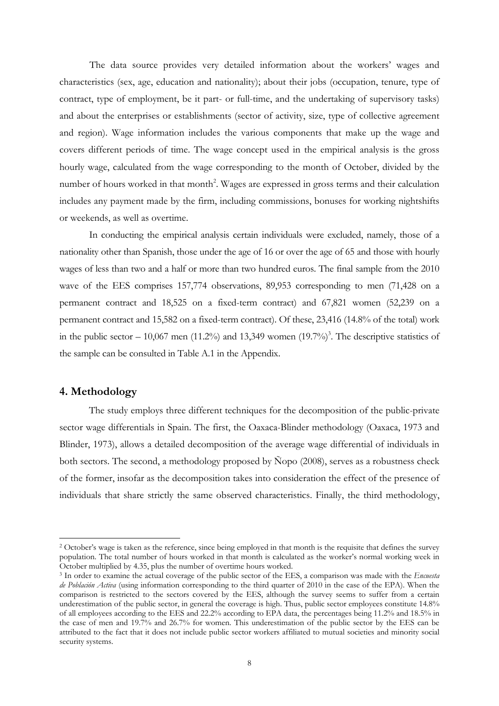The data source provides very detailed information about the workers' wages and characteristics (sex, age, education and nationality); about their jobs (occupation, tenure, type of contract, type of employment, be it part- or full-time, and the undertaking of supervisory tasks) and about the enterprises or establishments (sector of activity, size, type of collective agreement and region). Wage information includes the various components that make up the wage and covers different periods of time. The wage concept used in the empirical analysis is the gross hourly wage, calculated from the wage corresponding to the month of October, divided by the number of hours worked in that month<sup>2</sup>. Wages are expressed in gross terms and their calculation includes any payment made by the firm, including commissions, bonuses for working nightshifts or weekends, as well as overtime.

In conducting the empirical analysis certain individuals were excluded, namely, those of a nationality other than Spanish, those under the age of 16 or over the age of 65 and those with hourly wages of less than two and a half or more than two hundred euros. The final sample from the 2010 wave of the EES comprises 157,774 observations, 89,953 corresponding to men (71,428 on a permanent contract and 18,525 on a fixed-term contract) and 67,821 women (52,239 on a permanent contract and 15,582 on a fixed-term contract). Of these, 23,416 (14.8% of the total) work in the public sector  $-10,067$  men (11.2%) and 13,349 women (19.7%)<sup>3</sup>. The descriptive statistics of the sample can be consulted in Table A.1 in the Appendix.

### **4. Methodology**

1

The study employs three different techniques for the decomposition of the public-private sector wage differentials in Spain. The first, the Oaxaca-Blinder methodology (Oaxaca, 1973 and Blinder, 1973), allows a detailed decomposition of the average wage differential of individuals in both sectors. The second, a methodology proposed by Ñopo (2008), serves as a robustness check of the former, insofar as the decomposition takes into consideration the effect of the presence of individuals that share strictly the same observed characteristics. Finally, the third methodology,

<sup>&</sup>lt;sup>2</sup> October's wage is taken as the reference, since being employed in that month is the requisite that defines the survey population. The total number of hours worked in that month is calculated as the worker's normal working week in October multiplied by 4.35, plus the number of overtime hours worked. 3 In order to examine the actual coverage of the public sector of the EES, a comparison was made with the *Encuesta* 

*de Población Activa* (using information corresponding to the third quarter of 2010 in the case of the EPA). When the comparison is restricted to the sectors covered by the EES, although the survey seems to suffer from a certain underestimation of the public sector, in general the coverage is high. Thus, public sector employees constitute 14.8% of all employees according to the EES and 22.2% according to EPA data, the percentages being 11.2% and 18.5% in the case of men and 19.7% and 26.7% for women. This underestimation of the public sector by the EES can be attributed to the fact that it does not include public sector workers affiliated to mutual societies and minority social security systems.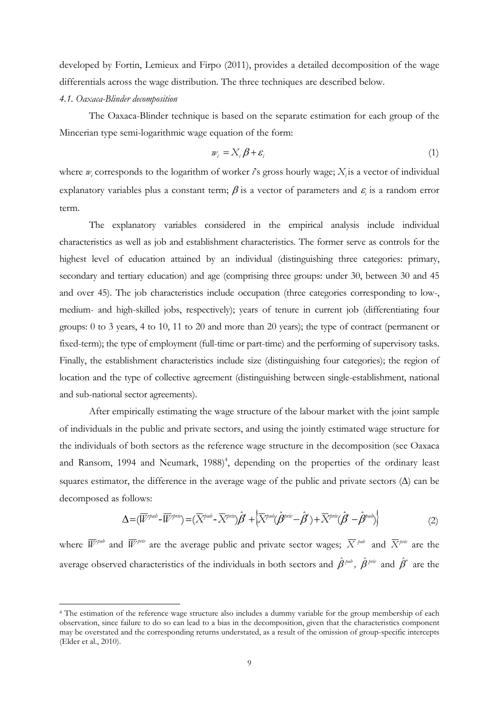developed by Fortin, Lemieux and Firpo (2011), provides a detailed decomposition of the wage differentials across the wage distribution. The three techniques are described below.

#### *4.1. Oaxaca-Blinder decomposition*

1

The Oaxaca-Blinder technique is based on the separate estimation for each group of the Mincerian type semi-logarithmic wage equation of the form:

$$
w_i = X_i \beta + \varepsilon_i \tag{1}
$$

where  $w_i$  corresponds to the logarithm of worker  $i$ 's gross hourly wage;  $X_i$  is a vector of individual explanatory variables plus a constant term;  $\beta$  is a vector of parameters and  $\varepsilon$  is a random error term.

The explanatory variables considered in the empirical analysis include individual characteristics as well as job and establishment characteristics. The former serve as controls for the highest level of education attained by an individual (distinguishing three categories: primary, secondary and tertiary education) and age (comprising three groups: under 30, between 30 and 45 and over 45). The job characteristics include occupation (three categories corresponding to low-, medium- and high-skilled jobs, respectively); years of tenure in current job (differentiating four groups: 0 to 3 years, 4 to 10, 11 to 20 and more than 20 years); the type of contract (permanent or fixed-term); the type of employment (full-time or part-time) and the performing of supervisory tasks. Finally, the establishment characteristics include size (distinguishing four categories); the region of location and the type of collective agreement (distinguishing between single-establishment, national and sub-national sector agreements).

After empirically estimating the wage structure of the labour market with the joint sample of individuals in the public and private sectors, and using the jointly estimated wage structure for the individuals of both sectors as the reference wage structure in the decomposition (see Oaxaca and Ransom, 1994 and Neumark, 1988)<sup>4</sup>, depending on the properties of the ordinary least squares estimator, the difference in the average wage of the public and private sectors  $(\Delta)$  can be decomposed as follows:

$$
\Delta = (\overline{W}^{\text{pub}} - \overline{W}^{\text{priv}}) = (\overline{X}^{\text{pub}} - \overline{X}^{\text{priv}})\hat{\beta}^* + \left\{\overline{X}^{\text{pub}}(\hat{\beta}^{\text{priv}} - \hat{\beta}^*) + \overline{X}^{\text{priv}}(\hat{\beta}^* - \hat{\beta}^{\text{pub}})\right\}
$$
(2)

where  $\overline{W}^{pub}$  and  $\overline{W}^{priv}$  are the average public and private sector wages;  $\overline{X}^{pub}$  and  $\overline{X}^{priv}$  are the average observed characteristics of the individuals in both sectors and  $\hat{\beta}^{pnb}$ ,  $\hat{\beta}^{pnb}$  and  $\hat{\beta}^*$  are the

<sup>4</sup> The estimation of the reference wage structure also includes a dummy variable for the group membership of each observation, since failure to do so can lead to a bias in the decomposition, given that the characteristics component may be overstated and the corresponding returns understated, as a result of the omission of group-specific intercepts (Elder et al., 2010).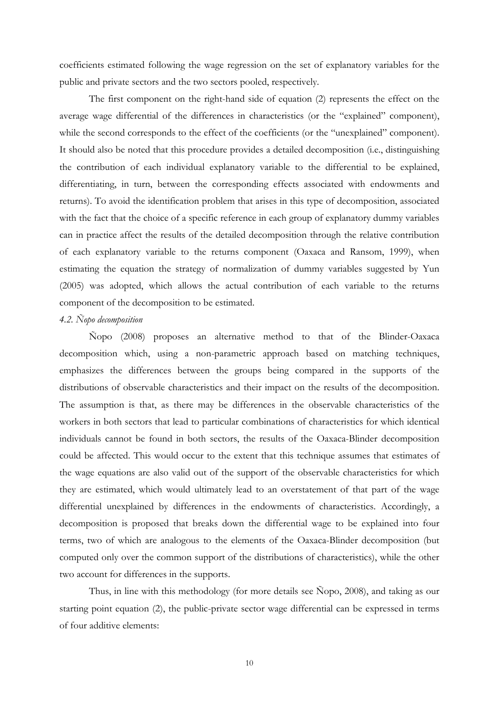coefficients estimated following the wage regression on the set of explanatory variables for the public and private sectors and the two sectors pooled, respectively.

The first component on the right-hand side of equation (2) represents the effect on the average wage differential of the differences in characteristics (or the "explained" component), while the second corresponds to the effect of the coefficients (or the "unexplained" component). It should also be noted that this procedure provides a detailed decomposition (i.e., distinguishing the contribution of each individual explanatory variable to the differential to be explained, differentiating, in turn, between the corresponding effects associated with endowments and returns). To avoid the identification problem that arises in this type of decomposition, associated with the fact that the choice of a specific reference in each group of explanatory dummy variables can in practice affect the results of the detailed decomposition through the relative contribution of each explanatory variable to the returns component (Oaxaca and Ransom, 1999), when estimating the equation the strategy of normalization of dummy variables suggested by Yun (2005) was adopted, which allows the actual contribution of each variable to the returns component of the decomposition to be estimated.

#### *4.2. Ñopo decomposition*

Ñopo (2008) proposes an alternative method to that of the Blinder-Oaxaca decomposition which, using a non-parametric approach based on matching techniques, emphasizes the differences between the groups being compared in the supports of the distributions of observable characteristics and their impact on the results of the decomposition. The assumption is that, as there may be differences in the observable characteristics of the workers in both sectors that lead to particular combinations of characteristics for which identical individuals cannot be found in both sectors, the results of the Oaxaca-Blinder decomposition could be affected. This would occur to the extent that this technique assumes that estimates of the wage equations are also valid out of the support of the observable characteristics for which they are estimated, which would ultimately lead to an overstatement of that part of the wage differential unexplained by differences in the endowments of characteristics. Accordingly, a decomposition is proposed that breaks down the differential wage to be explained into four terms, two of which are analogous to the elements of the Oaxaca-Blinder decomposition (but computed only over the common support of the distributions of characteristics), while the other two account for differences in the supports.

Thus, in line with this methodology (for more details see Ñopo, 2008), and taking as our starting point equation (2), the public-private sector wage differential can be expressed in terms of four additive elements: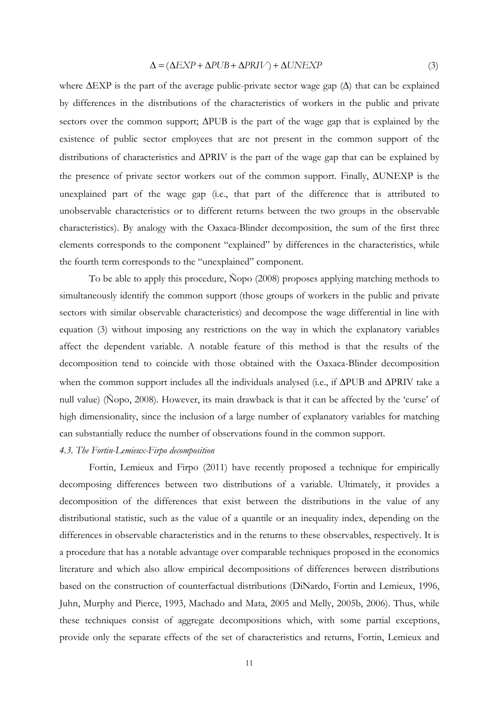#### $\Delta = (\Delta EXP + \Delta PUB + \Delta PRIV) + \Delta UNEXP$  (3)

where  $\triangle$ EXP is the part of the average public-private sector wage gap  $(\triangle)$  that can be explained by differences in the distributions of the characteristics of workers in the public and private sectors over the common support;  $\Delta$ PUB is the part of the wage gap that is explained by the existence of public sector employees that are not present in the common support of the distributions of characteristics and  $\Delta$ PRIV is the part of the wage gap that can be explained by the presence of private sector workers out of the common support. Finally, UNEXP is the unexplained part of the wage gap (i.e., that part of the difference that is attributed to unobservable characteristics or to different returns between the two groups in the observable characteristics). By analogy with the Oaxaca-Blinder decomposition, the sum of the first three elements corresponds to the component "explained" by differences in the characteristics, while the fourth term corresponds to the "unexplained" component.

To be able to apply this procedure, Ñopo (2008) proposes applying matching methods to simultaneously identify the common support (those groups of workers in the public and private sectors with similar observable characteristics) and decompose the wage differential in line with equation (3) without imposing any restrictions on the way in which the explanatory variables affect the dependent variable. A notable feature of this method is that the results of the decomposition tend to coincide with those obtained with the Oaxaca-Blinder decomposition when the common support includes all the individuals analysed (i.e., if  $\Delta \text{PUB}$  and  $\Delta \text{PRIV}$  take a null value) (Ñopo, 2008). However, its main drawback is that it can be affected by the 'curse' of high dimensionality, since the inclusion of a large number of explanatory variables for matching can substantially reduce the number of observations found in the common support.

#### *4.3. The Fortin-Lemieux-Firpo decomposition*

Fortin, Lemieux and Firpo (2011) have recently proposed a technique for empirically decomposing differences between two distributions of a variable. Ultimately, it provides a decomposition of the differences that exist between the distributions in the value of any distributional statistic, such as the value of a quantile or an inequality index, depending on the differences in observable characteristics and in the returns to these observables, respectively. It is a procedure that has a notable advantage over comparable techniques proposed in the economics literature and which also allow empirical decompositions of differences between distributions based on the construction of counterfactual distributions (DiNardo, Fortin and Lemieux, 1996, Juhn, Murphy and Pierce, 1993, Machado and Mata, 2005 and Melly, 2005b, 2006). Thus, while these techniques consist of aggregate decompositions which, with some partial exceptions, provide only the separate effects of the set of characteristics and returns, Fortin, Lemieux and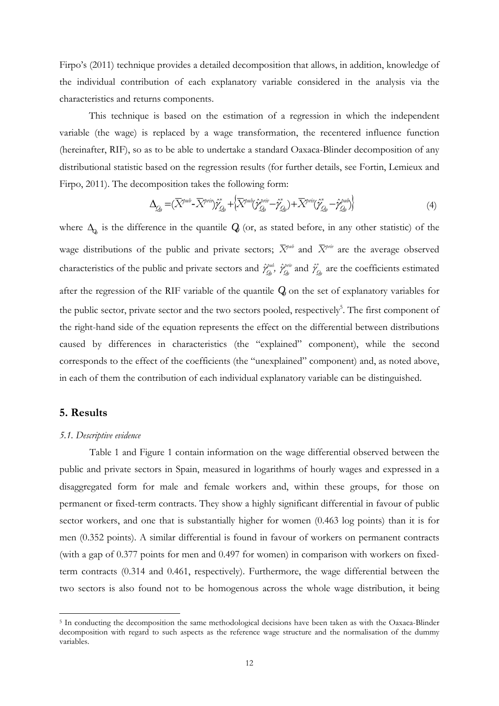Firpo's (2011) technique provides a detailed decomposition that allows, in addition, knowledge of the individual contribution of each explanatory variable considered in the analysis via the characteristics and returns components.

This technique is based on the estimation of a regression in which the independent variable (the wage) is replaced by a wage transformation, the recentered influence function (hereinafter, RIF), so as to be able to undertake a standard Oaxaca-Blinder decomposition of any distributional statistic based on the regression results (for further details, see Fortin, Lemieux and Firpo, 2011). The decomposition takes the following form:

$$
\Delta_{Q_{\theta}} = (\overline{X}^{\text{pub}} - \overline{X}^{\text{priv}}) \hat{\gamma}_{Q_{\theta}}^* + \left\{ \overline{X}^{\text{pub}} (\hat{\gamma}_{Q_{\theta}}^{\text{priv}} - \hat{\gamma}_{Q_{\theta}}^*) + \overline{X}^{\text{priv}} (\hat{\gamma}_{Q_{\theta}}^* - \hat{\gamma}_{Q_{\theta}}^{\text{pub}}) \right\} \tag{4}
$$

where  $\Delta_{\Omega}$  is the difference in the quantile  $Q_{\rho}$  (or, as stated before, in any other statistic) of the wage distributions of the public and private sectors;  $\bar{X}^{pub}$  and  $\bar{X}^{priv}$  are the average observed characteristics of the public and private sectors and  $\hat{\gamma}_{Q_b}^{pnl}$ ,  $\hat{\gamma}_{Q_b}^{pnl}$  and  $\hat{\gamma}_{Q_b}^{s}$  are the coefficients estimated after the regression of the RIF variable of the quantile *Q* on the set of explanatory variables for the public sector, private sector and the two sectors pooled, respectively<sup>5</sup>. The first component of the right-hand side of the equation represents the effect on the differential between distributions caused by differences in characteristics (the "explained" component), while the second corresponds to the effect of the coefficients (the "unexplained" component) and, as noted above, in each of them the contribution of each individual explanatory variable can be distinguished.

#### **5. Results**

1

#### *5.1. Descriptive evidence*

Table 1 and Figure 1 contain information on the wage differential observed between the public and private sectors in Spain, measured in logarithms of hourly wages and expressed in a disaggregated form for male and female workers and, within these groups, for those on permanent or fixed-term contracts. They show a highly significant differential in favour of public sector workers, and one that is substantially higher for women (0.463 log points) than it is for men (0.352 points). A similar differential is found in favour of workers on permanent contracts (with a gap of 0.377 points for men and 0.497 for women) in comparison with workers on fixedterm contracts (0.314 and 0.461, respectively). Furthermore, the wage differential between the two sectors is also found not to be homogenous across the whole wage distribution, it being

<sup>&</sup>lt;sup>5</sup> In conducting the decomposition the same methodological decisions have been taken as with the Oaxaca-Blinder decomposition with regard to such aspects as the reference wage structure and the normalisation of the dummy variables.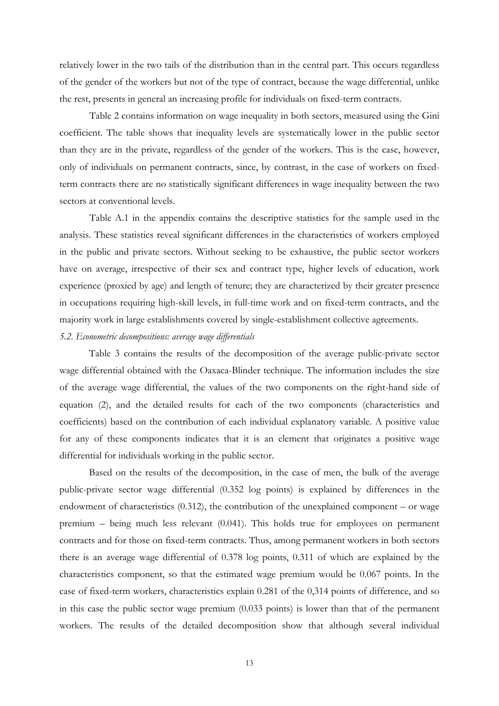relatively lower in the two tails of the distribution than in the central part. This occurs regardless of the gender of the workers but not of the type of contract, because the wage differential, unlike the rest, presents in general an increasing profile for individuals on fixed-term contracts.

Table 2 contains information on wage inequality in both sectors, measured using the Gini coefficient. The table shows that inequality levels are systematically lower in the public sector than they are in the private, regardless of the gender of the workers. This is the case, however, only of individuals on permanent contracts, since, by contrast, in the case of workers on fixedterm contracts there are no statistically significant differences in wage inequality between the two sectors at conventional levels.

Table A.1 in the appendix contains the descriptive statistics for the sample used in the analysis. These statistics reveal significant differences in the characteristics of workers employed in the public and private sectors. Without seeking to be exhaustive, the public sector workers have on average, irrespective of their sex and contract type, higher levels of education, work experience (proxied by age) and length of tenure; they are characterized by their greater presence in occupations requiring high-skill levels, in full-time work and on fixed-term contracts, and the majority work in large establishments covered by single-establishment collective agreements.

#### *5.2. Econometric decompositions: average wage differentials*

Table 3 contains the results of the decomposition of the average public-private sector wage differential obtained with the Oaxaca-Blinder technique. The information includes the size of the average wage differential, the values of the two components on the right-hand side of equation (2), and the detailed results for each of the two components (characteristics and coefficients) based on the contribution of each individual explanatory variable. A positive value for any of these components indicates that it is an element that originates a positive wage differential for individuals working in the public sector.

Based on the results of the decomposition, in the case of men, the bulk of the average public-private sector wage differential (0.352 log points) is explained by differences in the endowment of characteristics (0.312), the contribution of the unexplained component – or wage premium – being much less relevant (0.041). This holds true for employees on permanent contracts and for those on fixed-term contracts. Thus, among permanent workers in both sectors there is an average wage differential of 0.378 log points, 0.311 of which are explained by the characteristics component, so that the estimated wage premium would be 0.067 points. In the case of fixed-term workers, characteristics explain 0.281 of the 0,314 points of difference, and so in this case the public sector wage premium (0.033 points) is lower than that of the permanent workers. The results of the detailed decomposition show that although several individual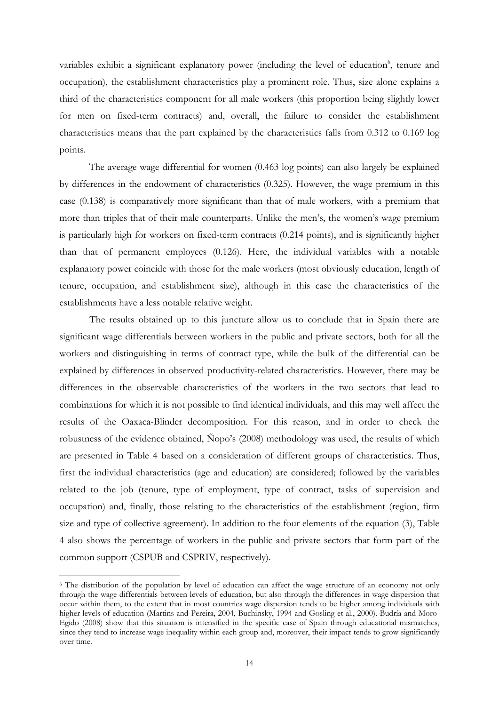variables exhibit a significant explanatory power (including the level of education<sup>6</sup>, tenure and occupation), the establishment characteristics play a prominent role. Thus, size alone explains a third of the characteristics component for all male workers (this proportion being slightly lower for men on fixed-term contracts) and, overall, the failure to consider the establishment characteristics means that the part explained by the characteristics falls from 0.312 to 0.169 log points.

The average wage differential for women (0.463 log points) can also largely be explained by differences in the endowment of characteristics (0.325). However, the wage premium in this case (0.138) is comparatively more significant than that of male workers, with a premium that more than triples that of their male counterparts. Unlike the men's, the women's wage premium is particularly high for workers on fixed-term contracts (0.214 points), and is significantly higher than that of permanent employees (0.126). Here, the individual variables with a notable explanatory power coincide with those for the male workers (most obviously education, length of tenure, occupation, and establishment size), although in this case the characteristics of the establishments have a less notable relative weight.

The results obtained up to this juncture allow us to conclude that in Spain there are significant wage differentials between workers in the public and private sectors, both for all the workers and distinguishing in terms of contract type, while the bulk of the differential can be explained by differences in observed productivity-related characteristics. However, there may be differences in the observable characteristics of the workers in the two sectors that lead to combinations for which it is not possible to find identical individuals, and this may well affect the results of the Oaxaca-Blinder decomposition. For this reason, and in order to check the robustness of the evidence obtained, Ñopo's (2008) methodology was used, the results of which are presented in Table 4 based on a consideration of different groups of characteristics. Thus, first the individual characteristics (age and education) are considered; followed by the variables related to the job (tenure, type of employment, type of contract, tasks of supervision and occupation) and, finally, those relating to the characteristics of the establishment (region, firm size and type of collective agreement). In addition to the four elements of the equation (3), Table 4 also shows the percentage of workers in the public and private sectors that form part of the common support (CSPUB and CSPRIV, respectively).

1

<sup>6</sup> The distribution of the population by level of education can affect the wage structure of an economy not only through the wage differentials between levels of education, but also through the differences in wage dispersion that occur within them, to the extent that in most countries wage dispersion tends to be higher among individuals with higher levels of education (Martins and Pereira, 2004, Buchinsky, 1994 and Gosling et al., 2000). Budría and Moro-Egido (2008) show that this situation is intensified in the specific case of Spain through educational mismatches, since they tend to increase wage inequality within each group and, moreover, their impact tends to grow significantly over time.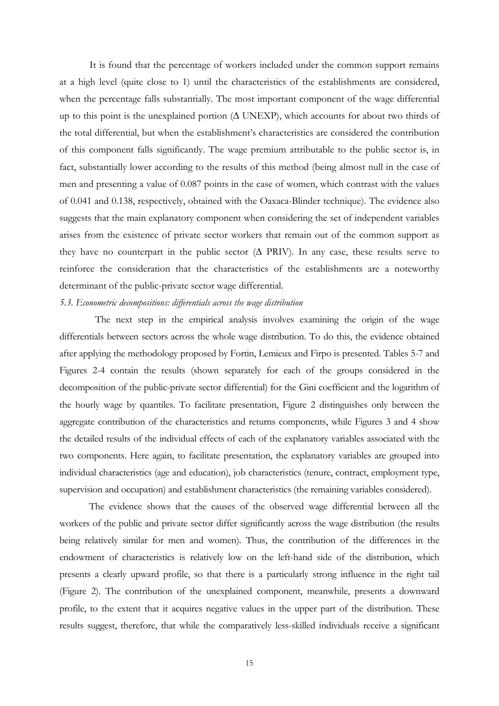It is found that the percentage of workers included under the common support remains at a high level (quite close to 1) until the characteristics of the establishments are considered, when the percentage falls substantially. The most important component of the wage differential up to this point is the unexplained portion (∆ UNEXP), which accounts for about two thirds of the total differential, but when the establishment's characteristics are considered the contribution of this component falls significantly. The wage premium attributable to the public sector is, in fact, substantially lower according to the results of this method (being almost null in the case of men and presenting a value of 0.087 points in the case of women, which contrast with the values of 0.041 and 0.138, respectively, obtained with the Oaxaca-Blinder technique). The evidence also suggests that the main explanatory component when considering the set of independent variables arises from the existence of private sector workers that remain out of the common support as they have no counterpart in the public sector  $(\Delta$  PRIV). In any case, these results serve to reinforce the consideration that the characteristics of the establishments are a noteworthy determinant of the public-private sector wage differential.

#### *5.3. Econometric decompositions: differentials across the wage distribution*

 The next step in the empirical analysis involves examining the origin of the wage differentials between sectors across the whole wage distribution. To do this, the evidence obtained after applying the methodology proposed by Fortin, Lemieux and Firpo is presented. Tables 5-7 and Figures 2-4 contain the results (shown separately for each of the groups considered in the decomposition of the public-private sector differential) for the Gini coefficient and the logarithm of the hourly wage by quantiles. To facilitate presentation, Figure 2 distinguishes only between the aggregate contribution of the characteristics and returns components, while Figures 3 and 4 show the detailed results of the individual effects of each of the explanatory variables associated with the two components. Here again, to facilitate presentation, the explanatory variables are grouped into individual characteristics (age and education), job characteristics (tenure, contract, employment type, supervision and occupation) and establishment characteristics (the remaining variables considered).

The evidence shows that the causes of the observed wage differential between all the workers of the public and private sector differ significantly across the wage distribution (the results being relatively similar for men and women). Thus, the contribution of the differences in the endowment of characteristics is relatively low on the left-hand side of the distribution, which presents a clearly upward profile, so that there is a particularly strong influence in the right tail (Figure 2). The contribution of the unexplained component, meanwhile, presents a downward profile, to the extent that it acquires negative values in the upper part of the distribution. These results suggest, therefore, that while the comparatively less-skilled individuals receive a significant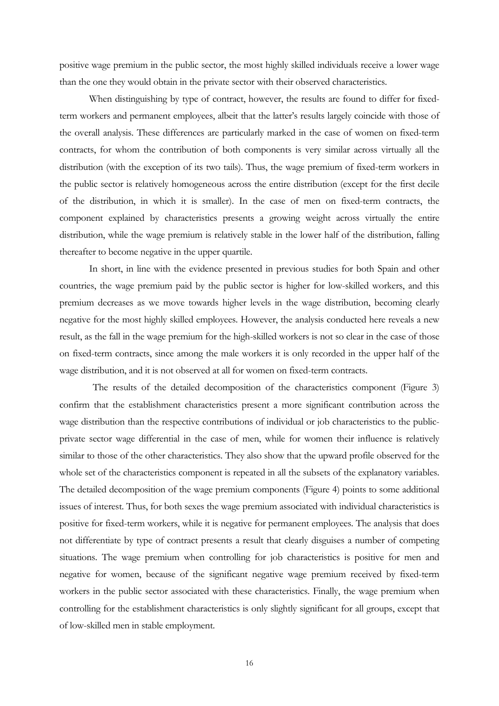positive wage premium in the public sector, the most highly skilled individuals receive a lower wage than the one they would obtain in the private sector with their observed characteristics.

When distinguishing by type of contract, however, the results are found to differ for fixedterm workers and permanent employees, albeit that the latter's results largely coincide with those of the overall analysis. These differences are particularly marked in the case of women on fixed-term contracts, for whom the contribution of both components is very similar across virtually all the distribution (with the exception of its two tails). Thus, the wage premium of fixed-term workers in the public sector is relatively homogeneous across the entire distribution (except for the first decile of the distribution, in which it is smaller). In the case of men on fixed-term contracts, the component explained by characteristics presents a growing weight across virtually the entire distribution, while the wage premium is relatively stable in the lower half of the distribution, falling thereafter to become negative in the upper quartile.

In short, in line with the evidence presented in previous studies for both Spain and other countries, the wage premium paid by the public sector is higher for low-skilled workers, and this premium decreases as we move towards higher levels in the wage distribution, becoming clearly negative for the most highly skilled employees. However, the analysis conducted here reveals a new result, as the fall in the wage premium for the high-skilled workers is not so clear in the case of those on fixed-term contracts, since among the male workers it is only recorded in the upper half of the wage distribution, and it is not observed at all for women on fixed-term contracts.

 The results of the detailed decomposition of the characteristics component (Figure 3) confirm that the establishment characteristics present a more significant contribution across the wage distribution than the respective contributions of individual or job characteristics to the publicprivate sector wage differential in the case of men, while for women their influence is relatively similar to those of the other characteristics. They also show that the upward profile observed for the whole set of the characteristics component is repeated in all the subsets of the explanatory variables. The detailed decomposition of the wage premium components (Figure 4) points to some additional issues of interest. Thus, for both sexes the wage premium associated with individual characteristics is positive for fixed-term workers, while it is negative for permanent employees. The analysis that does not differentiate by type of contract presents a result that clearly disguises a number of competing situations. The wage premium when controlling for job characteristics is positive for men and negative for women, because of the significant negative wage premium received by fixed-term workers in the public sector associated with these characteristics. Finally, the wage premium when controlling for the establishment characteristics is only slightly significant for all groups, except that of low-skilled men in stable employment.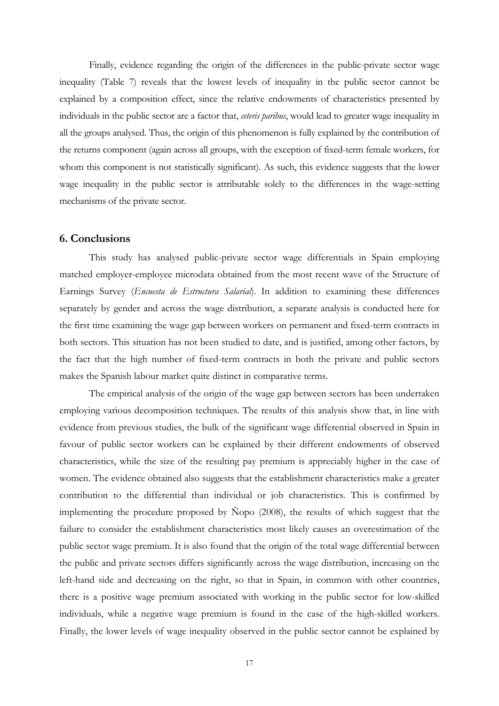Finally, evidence regarding the origin of the differences in the public-private sector wage inequality (Table 7) reveals that the lowest levels of inequality in the public sector cannot be explained by a composition effect, since the relative endowments of characteristics presented by individuals in the public sector are a factor that, *ceteris paribus*, would lead to greater wage inequality in all the groups analysed. Thus, the origin of this phenomenon is fully explained by the contribution of the returns component (again across all groups, with the exception of fixed-term female workers, for whom this component is not statistically significant). As such, this evidence suggests that the lower wage inequality in the public sector is attributable solely to the differences in the wage-setting mechanisms of the private sector.

#### **6. Conclusions**

This study has analysed public-private sector wage differentials in Spain employing matched employer-employee microdata obtained from the most recent wave of the Structure of Earnings Survey (*Encuesta de Estructura Salarial*). In addition to examining these differences separately by gender and across the wage distribution, a separate analysis is conducted here for the first time examining the wage gap between workers on permanent and fixed-term contracts in both sectors. This situation has not been studied to date, and is justified, among other factors, by the fact that the high number of fixed-term contracts in both the private and public sectors makes the Spanish labour market quite distinct in comparative terms.

The empirical analysis of the origin of the wage gap between sectors has been undertaken employing various decomposition techniques. The results of this analysis show that, in line with evidence from previous studies, the bulk of the significant wage differential observed in Spain in favour of public sector workers can be explained by their different endowments of observed characteristics, while the size of the resulting pay premium is appreciably higher in the case of women. The evidence obtained also suggests that the establishment characteristics make a greater contribution to the differential than individual or job characteristics. This is confirmed by implementing the procedure proposed by Ñopo (2008), the results of which suggest that the failure to consider the establishment characteristics most likely causes an overestimation of the public sector wage premium. It is also found that the origin of the total wage differential between the public and private sectors differs significantly across the wage distribution, increasing on the left-hand side and decreasing on the right, so that in Spain, in common with other countries, there is a positive wage premium associated with working in the public sector for low-skilled individuals, while a negative wage premium is found in the case of the high-skilled workers. Finally, the lower levels of wage inequality observed in the public sector cannot be explained by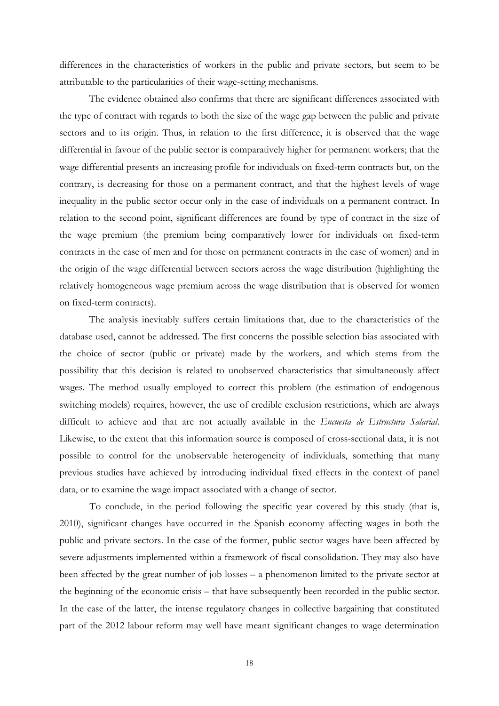differences in the characteristics of workers in the public and private sectors, but seem to be attributable to the particularities of their wage-setting mechanisms.

The evidence obtained also confirms that there are significant differences associated with the type of contract with regards to both the size of the wage gap between the public and private sectors and to its origin. Thus, in relation to the first difference, it is observed that the wage differential in favour of the public sector is comparatively higher for permanent workers; that the wage differential presents an increasing profile for individuals on fixed-term contracts but, on the contrary, is decreasing for those on a permanent contract, and that the highest levels of wage inequality in the public sector occur only in the case of individuals on a permanent contract. In relation to the second point, significant differences are found by type of contract in the size of the wage premium (the premium being comparatively lower for individuals on fixed-term contracts in the case of men and for those on permanent contracts in the case of women) and in the origin of the wage differential between sectors across the wage distribution (highlighting the relatively homogeneous wage premium across the wage distribution that is observed for women on fixed-term contracts).

The analysis inevitably suffers certain limitations that, due to the characteristics of the database used, cannot be addressed. The first concerns the possible selection bias associated with the choice of sector (public or private) made by the workers, and which stems from the possibility that this decision is related to unobserved characteristics that simultaneously affect wages. The method usually employed to correct this problem (the estimation of endogenous switching models) requires, however, the use of credible exclusion restrictions, which are always difficult to achieve and that are not actually available in the *Encuesta de Estructura Salarial*. Likewise, to the extent that this information source is composed of cross-sectional data, it is not possible to control for the unobservable heterogeneity of individuals, something that many previous studies have achieved by introducing individual fixed effects in the context of panel data, or to examine the wage impact associated with a change of sector.

To conclude, in the period following the specific year covered by this study (that is, 2010), significant changes have occurred in the Spanish economy affecting wages in both the public and private sectors. In the case of the former, public sector wages have been affected by severe adjustments implemented within a framework of fiscal consolidation. They may also have been affected by the great number of job losses – a phenomenon limited to the private sector at the beginning of the economic crisis – that have subsequently been recorded in the public sector. In the case of the latter, the intense regulatory changes in collective bargaining that constituted part of the 2012 labour reform may well have meant significant changes to wage determination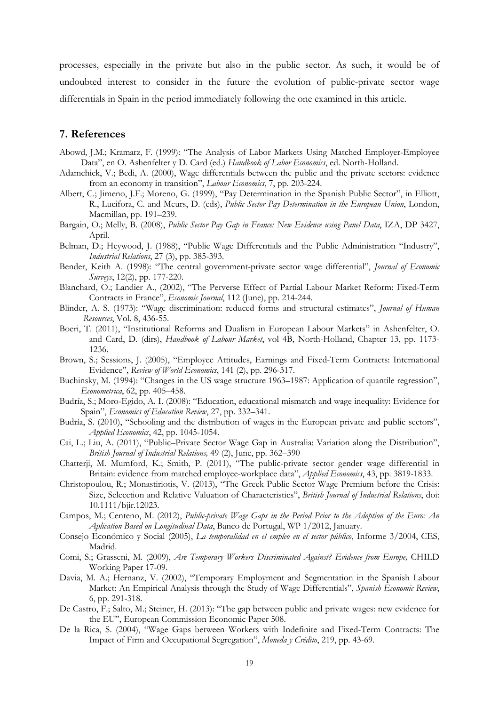processes, especially in the private but also in the public sector. As such, it would be of undoubted interest to consider in the future the evolution of public-private sector wage differentials in Spain in the period immediately following the one examined in this article.

#### **7. References**

- Abowd, J.M.; Kramarz, F. (1999): "The Analysis of Labor Markets Using Matched Employer-Employee Data", en O. Ashenfelter y D. Card (ed.) *Handbook of Labor Economics*, ed. North-Holland.
- Adamchick, V.; Bedi, A. (2000), Wage differentials between the public and the private sectors: evidence from an economy in transition", *Labour Economics*, 7, pp. 203-224.
- Albert, C.; Jimeno, J.F.; Moreno, G. (1999), "Pay Determination in the Spanish Public Sector", in Elliott, R., Lucifora, C. and Meurs, D. (eds), *Public Sector Pay Determination in the European Union*, London, Macmillan, pp. 191–239.
- Bargain, O.; Melly, B. (2008), *Public Sector Pay Gap in France: New Evidence using Panel Data*, IZA, DP 3427, April.
- Belman, D.; Heywood, J. (1988), "Public Wage Differentials and the Public Administration "Industry", *Industrial Relations*, 27 (3), pp. 385-393.
- Bender, Keith A. (1998): "The central government-private sector wage differential", *Journal of Economic Surveys*, 12(2), pp. 177-220.
- Blanchard, O.; Landier A., (2002), "The Perverse Effect of Partial Labour Market Reform: Fixed-Term Contracts in France", *Economic Journal*, 112 (June), pp. 214-244.
- Blinder, A. S. (1973): "Wage discrimination: reduced forms and structural estimates", *Journal of Human Resources*, Vol. 8, 436-55.
- Boeri, T. (2011), "Institutional Reforms and Dualism in European Labour Markets" in Ashenfelter, O. and Card, D. (dirs), *Handbook of Labour Market*, vol 4B, North-Holland, Chapter 13, pp. 1173- 1236.
- Brown, S.; Sessions, J. (2005), "Employee Attitudes, Earnings and Fixed-Term Contracts: International Evidence", *Review of World Economics*, 141 (2), pp. 296-317.
- Buchinsky, M. (1994): "Changes in the US wage structure 1963–1987: Application of quantile regression", *Econometrica*, 62, pp. 405–458.
- Budría, S.; Moro-Egido, A. I. (2008): "Education, educational mismatch and wage inequality: Evidence for Spain", *Economics of Education Review*, 27, pp. 332–341.
- Budría, S. (2010), "Schooling and the distribution of wages in the European private and public sectors", *Applied Economics*, 42, pp. 1045-1054.
- Cai, L.; Liu, A. (2011), "Public–Private Sector Wage Gap in Australia: Variation along the Distribution", *British Journal of Industrial Relations,* 49 (2), June, pp. 362–390
- Chatterji, M. Mumford, K.; Smith, P. (2011), "The public-private sector gender wage differential in Britain: evidence from matched employee-workplace data", *Applied Economics*, 43, pp. 3819-1833.
- Christopoulou, R.; Monastiriotis, V. (2013), "The Greek Public Sector Wage Premium before the Crisis: Size, Selecction and Relative Valuation of Characteristics", *British Journal of Industrial Relations*, doi: 10.1111/bjir.12023.
- Campos, M.; Centeno, M. (2012), *Public-private Wage Gaps in the Period Prior to the Adoption of the Euro: An Aplication Based on Longitudinal Data*, Banco de Portugal, WP 1/2012, January.
- Consejo Económico y Social (2005), *La temporalidad en el empleo en el sector público*, Informe 3/2004, CES, Madrid.
- Comi, S.; Grasseni, M. (2009), *Are Temporary Workers Discriminated Against? Evidence from Europe,* CHILD Working Paper 17-09.
- Davia, M. A.; Hernanz, V. (2002), "Temporary Employment and Segmentation in the Spanish Labour Market: An Empirical Analysis through the Study of Wage Differentials", *Spanish Economic Review*, 6, pp. 291-318.
- De Castro, F.; Salto, M.; Steiner, H. (2013): "The gap between public and private wages: new evidence for the EU", European Commission Economic Paper 508.
- De la Rica, S. (2004), "Wage Gaps between Workers with Indefinite and Fixed-Term Contracts: The Impact of Firm and Occupational Segregation", *Moneda y Crédito*, 219, pp. 43-69.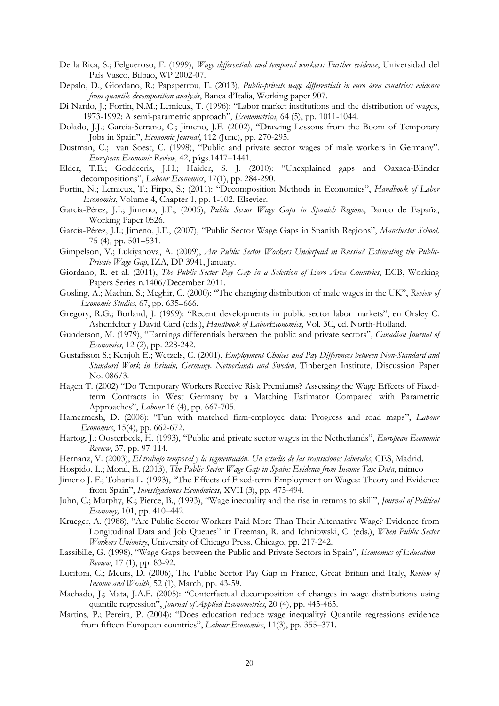- De la Rica, S.; Felgueroso, F. (1999), *Wage differentials and temporal workers: Further evidence*, Universidad del País Vasco, Bilbao, WP 2002-07.
- Depalo, D., Giordano, R.; Papapetrou, E. (2013), *Public-private wage differentials in euro área countries: evidence from quantile decomposition analysis*, Banca d'Italia, Working paper 907.
- Di Nardo, J.; Fortin, N.M.; Lemieux, T. (1996): "Labor market institutions and the distribution of wages, 1973-1992: A semi-parametric approach", *Econometrica*, 64 (5), pp. 1011-1044.
- Dolado, J.J.; García-Serrano, C.; Jimeno, J.F. (2002), "Drawing Lessons from the Boom of Temporary Jobs in Spain", *Economic Journal*, 112 (June), pp. 270-295.
- Dustman, C.; van Soest, C. (1998), "Public and private sector wages of male workers in Germany". *European Economic Review,* 42, págs.1417–1441.
- Elder, T.E.; Goddeeris, J.H.; Haider, S. J. (2010): "Unexplained gaps and Oaxaca-Blinder decompositions", *Labour Economics*, 17(1), pp. 284-290.
- Fortin, N.; Lemieux, T.; Firpo, S.; (2011): "Decomposition Methods in Economics", *Handbook of Labor Economics*, Volume 4, Chapter 1, pp. 1-102. Elsevier.
- García-Pérez, J.I.; Jimeno, J.F., (2005), *Public Sector Wage Gaps in Spanish Regions*, Banco de España, Working Paper 0526.
- García-Pérez, J.I.; Jimeno, J.F., (2007), "Public Sector Wage Gaps in Spanish Regions", *Manchester School,*  75 (4), pp. 501–531.
- Gimpelson, V.; Lukiyanova, A. (2009), *Are Public Sector Workers Underpaid in Russia? Estimating the Public-Private Wage Gap*, IZA, DP 3941, January.
- Giordano, R. et al. (2011), *The Public Sector Pay Gap in a Selection of Euro Area Countries*, ECB, Working Papers Series n.1406/December 2011.
- Gosling, A.; Machin, S.; Meghir, C. (2000): "The changing distribution of male wages in the UK", *Review of Economic Studies*, 67, pp. 635–666.
- Gregory, R.G.; Borland, J. (1999): "Recent developments in public sector labor markets", en Orsley C. Ashenfelter y David Card (eds.), *Handbook of LaborEconomics*, Vol. 3C, ed. North-Holland.
- Gunderson, M. (1979), "Earnings differentials between the public and private sectors", *Canadian Journal of Economics*, 12 (2), pp. 228-242.
- Gustafsson S.; Kenjoh E.; Wetzels, C. (2001), *Employment Choices and Pay Differences between Non-Standard and Standard Work in Britain, Germany, Netherlands and Sweden*, Tinbergen Institute, Discussion Paper No. 086/3.
- Hagen T. (2002) "Do Temporary Workers Receive Risk Premiums? Assessing the Wage Effects of Fixedterm Contracts in West Germany by a Matching Estimator Compared with Parametric Approaches", *Labour* 16 (4), pp. 667-705.
- Hamermesh, D. (2008): "Fun with matched firm-employee data: Progress and road maps", *Labour Economics*, 15(4), pp. 662-672.
- Hartog, J.; Oosterbeck, H. (1993), "Public and private sector wages in the Netherlands", *European Economic Review*, 37, pp. 97-114.
- Hernanz, V. (2003), *El trabajo temporal y la segmentación. Un estudio de las transiciones laborales*, CES, Madrid.
- Hospido, L.; Moral, E. (2013), *The Public Sector Wage Gap in Spain: Evidence from Income Tax Data*, mimeo
- Jimeno J. F.; Toharia L. (1993), "The Effects of Fixed-term Employment on Wages: Theory and Evidence from Spain", *Investigaciones Económicas,* XVII (3), pp. 475-494.
- Juhn, C.; Murphy, K.; Pierce, B., (1993), "Wage inequality and the rise in returns to skill", *Journal of Political Economy,* 101, pp. 410–442.
- Krueger, A. (1988), "Are Public Sector Workers Paid More Than Their Alternative Wage? Evidence from Longitudinal Data and Job Queues" in Freeman, R. and Ichniowski, C. (eds.), *When Public Sector Workers Unionize*, University of Chicago Press, Chicago, pp. 217-242.
- Lassibille, G. (1998), "Wage Gaps between the Public and Private Sectors in Spain", *Economics of Education Review*, 17 (1), pp. 83-92.
- Lucifora, C.; Meurs, D. (2006), The Public Sector Pay Gap in France, Great Britain and Italy, *Review of Income and Wealth*, 52 (1), March, pp. 43-59.
- Machado, J.; Mata, J.A.F. (2005): "Conterfactual decomposition of changes in wage distributions using quantile regression", *Journal of Applied Econometrics*, 20 (4), pp. 445-465.
- Martins, P.; Pereira, P. (2004): "Does education reduce wage inequality? Quantile regressions evidence from fifteen European countries", *Labour Economics*, 11(3), pp. 355–371.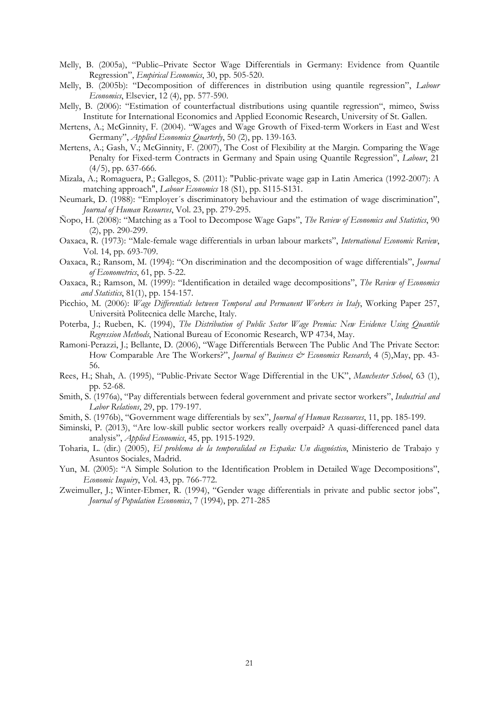- Melly, B. (2005a), "Public–Private Sector Wage Differentials in Germany: Evidence from Quantile Regression", *Empirical Economics*, 30, pp. 505-520.
- Melly, B. (2005b): "Decomposition of differences in distribution using quantile regression", *Labour Economics*, Elsevier, 12 (4), pp. 577-590.
- Melly, B. (2006): "Estimation of counterfactual distributions using quantile regression", mimeo, Swiss Institute for International Economics and Applied Economic Research, University of St. Gallen.
- Mertens, A.; McGinnity, F. (2004). "Wages and Wage Growth of Fixed-term Workers in East and West Germany", *Applied Economics Quarterly*, 50 (2), pp. 139-163.
- Mertens, A.; Gash, V.; McGinnity, F. (2007), The Cost of Flexibility at the Margin. Comparing the Wage Penalty for Fixed-term Contracts in Germany and Spain using Quantile Regression", *Labour*, 21  $(4/5)$ , pp. 637-666.
- Mizala, A.; Romaguera, P.; Gallegos, S. (2011): "Public-private wage gap in Latin America (1992-2007): A matching approach", *Labour Economics* 18 (S1), pp. S115-S131.
- Neumark, D. (1988): "Employer´s discriminatory behaviour and the estimation of wage discrimination", *Journal of Human Resources*, Vol. 23, pp. 279-295.
- Ñopo, H. (2008): "Matching as a Tool to Decompose Wage Gaps", *The Review of Economics and Statistics*, 90 (2), pp. 290-299.
- Oaxaca, R. (1973): "Male-female wage differentials in urban labour markets", *International Economic Review*, Vol. 14, pp. 693-709.
- Oaxaca, R.; Ransom, M. (1994): "On discrimination and the decomposition of wage differentials", *Journal of Econometrics*, 61, pp. 5-22.
- Oaxaca, R.; Ramson, M. (1999): "Identification in detailed wage decompositions", *The Review of Economics and Statistics*, 81(1), pp. 154-157.
- Picchio, M. (2006): *Wage Differentials between Temporal and Permanent Workers in Italy*, Working Paper 257, Università Politecnica delle Marche, Italy.
- Poterba, J.; Rueben, K. (1994), *The Distribution of Public Sector Wage Premia: New Evidence Using Quantile Regression Methods*, National Bureau of Economic Research, WP 4734, May.
- Ramoni-Perazzi, J.; Bellante, D. (2006), "Wage Differentials Between The Public And The Private Sector: How Comparable Are The Workers?", *Journal of Business & Economics Research*, 4 (5), May, pp. 43-56.
- Rees, H.; Shah, A. (1995), "Public-Private Sector Wage Differential in the UK", *Manchester School*, 63 (1), pp. 52-68.
- Smith, S. (1976a), "Pay differentials between federal government and private sector workers", *Industrial and Labor Relations*, 29, pp. 179-197.
- Smith, S. (1976b), "Government wage differentials by sex", *Journal of Human Ressources*, 11, pp. 185-199.
- Siminski, P. (2013), "Are low-skill public sector workers really overpaid? A quasi-differenced panel data analysis", *Applied Economics*, 45, pp. 1915-1929.
- Toharia, L. (dir.) (2005), *El problema de la temporalidad en España: Un diagnóstico*, Ministerio de Trabajo y Asuntos Sociales, Madrid.
- Yun, M. (2005): "A Simple Solution to the Identification Problem in Detailed Wage Decompositions", *Economic Inquiry*, Vol. 43, pp. 766-772.
- Zweimuller, J.; Winter-Ebmer, R. (1994), "Gender wage differentials in private and public sector jobs", *Journal of Population Economics*, 7 (1994), pp. 271-285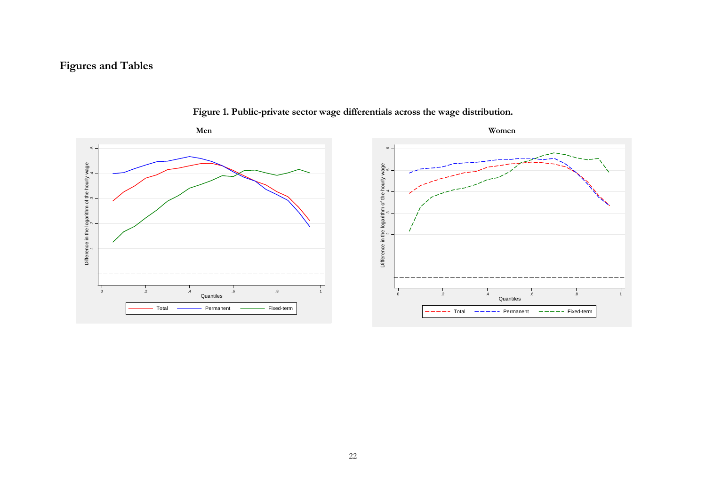## **Figures and Tables**



### **Figure 1. Public-private sector wage differentials across the wage distribution.**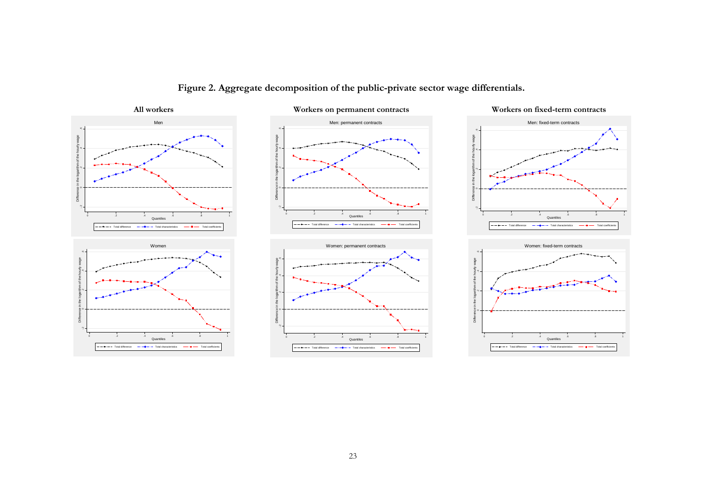

**Figure 2. Aggregate decomposition of the public-private sector wage differentials.**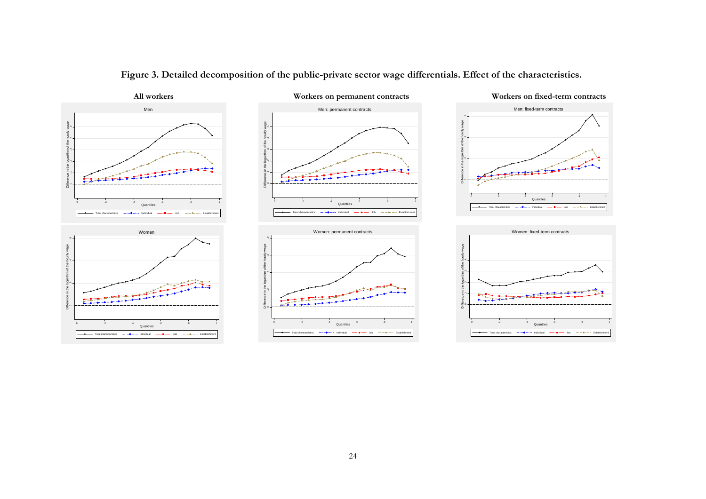

**Figure 3. Detailed decomposition of the public-private sector wage differentials. Effect of the characteristics.**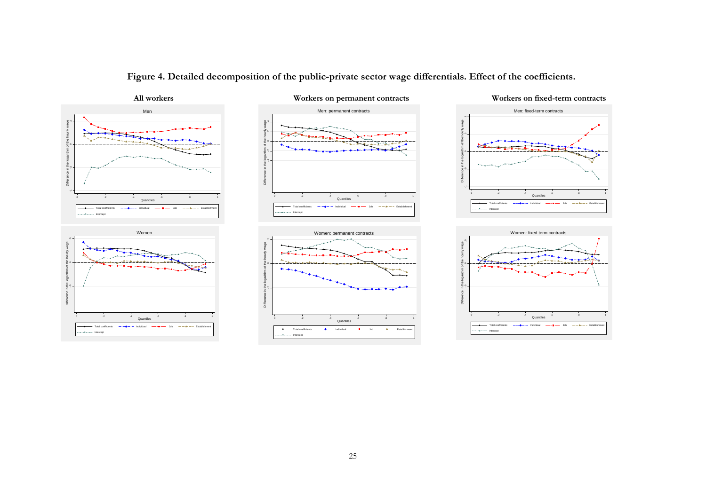

### **Figure 4. Detailed decomposition of the public-private sector wage differentials. Effect of the coefficients.**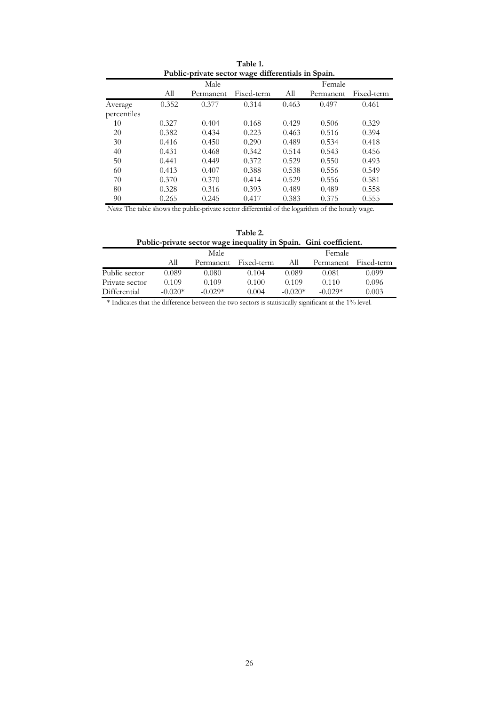|             | I applyme sector wage unicremials in opam. |           |            |       |           |            |  |  |  |  |  |  |
|-------------|--------------------------------------------|-----------|------------|-------|-----------|------------|--|--|--|--|--|--|
|             |                                            | Male      |            |       | Female    |            |  |  |  |  |  |  |
|             | All                                        | Permanent | Fixed-term | All   | Permanent | Fixed-term |  |  |  |  |  |  |
| Average     | 0.352                                      | 0.377     | 0.314      | 0.463 | 0.497     | 0.461      |  |  |  |  |  |  |
| percentiles |                                            |           |            |       |           |            |  |  |  |  |  |  |
| 10          | 0.327                                      | 0.404     | 0.168      | 0.429 | 0.506     | 0.329      |  |  |  |  |  |  |
| 20          | 0.382                                      | 0.434     | 0.223      | 0.463 | 0.516     | 0.394      |  |  |  |  |  |  |
| 30          | 0.416                                      | 0.450     | 0.290      | 0.489 | 0.534     | 0.418      |  |  |  |  |  |  |
| 40          | 0.431                                      | 0.468     | 0.342      | 0.514 | 0.543     | 0.456      |  |  |  |  |  |  |
| 50          | 0.441                                      | 0.449     | 0.372      | 0.529 | 0.550     | 0.493      |  |  |  |  |  |  |
| 60          | 0.413                                      | 0.407     | 0.388      | 0.538 | 0.556     | 0.549      |  |  |  |  |  |  |
| 70          | 0.370                                      | 0.370     | 0.414      | 0.529 | 0.556     | 0.581      |  |  |  |  |  |  |
| 80          | 0.328                                      | 0.316     | 0.393      | 0.489 | 0.489     | 0.558      |  |  |  |  |  |  |
| 90          | 0.265                                      | 0.245     | 0.417      | 0.383 | 0.375     | 0.555      |  |  |  |  |  |  |

**Table 1. Public-private sector wage differentials in Spain.** 

*Notes*: The table shows the public-private sector differential of the logarithm of the hourly wage.

| Table 2.                                                          |  |
|-------------------------------------------------------------------|--|
| Public-private sector wage inequality in Spain. Gini coefficient. |  |

|                |           | Male      |            | Female    |           |            |  |  |  |
|----------------|-----------|-----------|------------|-----------|-----------|------------|--|--|--|
|                | Αll       | Permanent | Fixed-term | All       | Permanent | Fixed-term |  |  |  |
| Public sector  | 0.089     | 0.080     | 0.104      | 0.089     | 0.081     | 0.099      |  |  |  |
| Private sector | 0.109     | 0.109     | 0.100      | 0.109     | 0.110     | 0.096      |  |  |  |
| Differential   | $-0.020*$ | $-0.029*$ | 0.004      | $-0.020*$ | $-0.029*$ | 0.003      |  |  |  |

\* Indicates that the difference between the two sectors is statistically significant at the 1% level.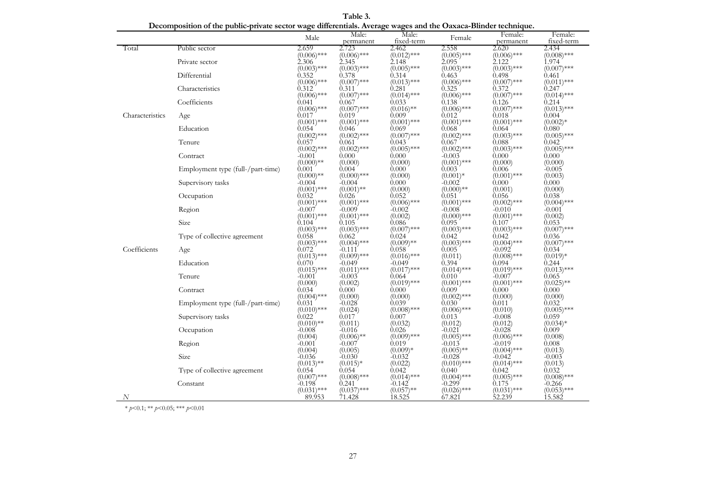|                 |                                   | Male          | Male:         | Male:         | Female        | Female:       | Female:       |
|-----------------|-----------------------------------|---------------|---------------|---------------|---------------|---------------|---------------|
|                 |                                   |               | permanent     | fixed-term    |               | permanent     | fixed-term    |
| Total           | Public sector                     | 2.659         | 2.723         | 2.462         | 2.558         | 2.620         | 2.434         |
|                 |                                   | $(0.006)$ *** | $(0.006)$ *** | $(0.012)$ *** | $(0.005)$ *** | $(0.006)$ *** | $(0.008)$ *** |
|                 | Private sector                    | 2.306         | 2.345         | 2.148         | 2.095         | 2.122         | 1.974         |
|                 |                                   | $(0.003)$ *** | $(0.003)$ *** | $(0.005)$ *** | $(0.003)$ *** | $(0.003)$ *** | $(0.007)$ *** |
|                 | Differential                      | 0.352         | 0.378         | 0.314         | 0.463         | 0.498         | 0.461         |
|                 |                                   | $(0.006)$ *** | $(0.007)$ *** | $(0.013)$ *** | $(0.006)$ *** | $(0.007)$ *** | $(0.011)$ *** |
|                 | Characteristics                   | 0.312         | 0.311         | 0.281         | 0.325         | 0.372         | 0.247         |
|                 |                                   | $(0.006)$ *** | $(0.007)$ *** | $(0.014)$ *** | $(0.006)$ *** | $(0.007)$ *** | $(0.014)$ *** |
|                 | Coefficients                      | 0.041         | 0.067         | 0.033         | 0.138         | 0.126         | 0.214         |
|                 |                                   | $(0.006)$ *** | $(0.007)$ *** | $(0.016)$ **  | $(0.006)$ *** | $(0.007)$ *** | $(0.013)$ *** |
| Characteristics | Age                               | 0.017         | 0.019         | 0.009         | 0.012         | 0.018         | 0.004         |
|                 |                                   | $(0.001)$ *** | $(0.001)$ *** | $(0.001)$ *** | $(0.001)$ *** | $(0.001)$ *** | $(0.002)*$    |
|                 | Education                         | 0.054         | 0.046         | 0.069         | 0.068         | 0.064         | 0.080         |
|                 |                                   | $(0.002)$ *** | $(0.002)$ *** | $(0.007)$ *** | $(0.002)$ *** | $(0.003)$ *** | $(0.005)$ *** |
|                 | Tenure                            | 0.057         | 0.061         | 0.043         | 0.067         | 0.088         | 0.042         |
|                 |                                   | $(0.002)$ *** | $(0.002)$ *** | $(0.005)$ *** | $(0.002)$ *** | $(0.003)$ *** | $(0.005)$ *** |
|                 | Contract                          | $-0.001$      | 0.000         | 0.000         | $-0.003$      | 0.000         | 0.000         |
|                 |                                   | $(0.000)**$   | (0.000)       | (0.000)       | $(0.001)$ *** | (0.000)       | (0.000)       |
|                 | Employment type (full-/part-time) | 0.001         | 0.004         | 0.000         | 0.003         | 0.006         | $-0.005$      |
|                 |                                   | $(0.000)**$   | $(0.000)$ *** | (0.000)       | $(0.001)*$    | $(0.001)$ *** | (0.003)       |
|                 |                                   | $-0.004$      |               |               |               |               |               |
|                 | Supervisory tasks                 |               | $-0.004$      | 0.000         | $-0.002$      | 0.000         | 0.000         |
|                 |                                   | $(0.001)$ *** | $(0.001)$ **  | (0.000)       | $(0.000)**$   | (0.001)       | (0.000)       |
|                 | Occupation                        | 0.032         | 0.026         | 0.052         | 0.051         | 0.056         | 0.038         |
|                 |                                   | $(0.001)$ *** | $(0.001)$ *** | $(0.006)$ *** | $(0.001)$ *** | $(0.002)$ *** | $(0.004)$ *** |
|                 | Region                            | $-0.007$      | $-0.009$      | $-0.002$      | $-0.008$      | $-0.010$      | $-0.001$      |
|                 |                                   | $(0.001)$ *** | $(0.001)$ *** | (0.002)       | $(0.000)$ *** | $(0.001)$ *** | (0.002)       |
|                 | Size                              | 0.104         | 0.105         | 0.086         | 0.095         | 0.107         | 0.053         |
|                 |                                   | $(0.003)$ *** | $(0.003)$ *** | $(0.007)$ *** | $(0.003)$ *** | $(0.003)$ *** | $(0.007)$ *** |
|                 | Type of collective agreement      | 0.058         | 0.062         | 0.024         | 0.042         | 0.042         | 0.036         |
|                 |                                   | $(0.003)$ *** | $(0.004)$ *** | $(0.009)$ **  | $(0.003)$ *** | $(0.004)$ *** | $(0.007)$ *** |
| Coefficients    | Age                               | 0.072         | $-0.111$      | 0.058         | 0.005         | $-0.092$      | 0.034         |
|                 |                                   | $(0.013)$ *** | $(0.009)$ *** | $(0.016)$ *** | (0.011)       | $(0.008)$ *** | $(0.019)*$    |
|                 | Education                         | 0.070         | $-0.049$      | $-0.049$      | 0.394         | 0.094         | 0.244         |
|                 |                                   | $(0.015)$ *** | $(0.011)$ *** | $(0.017)$ *** | $(0.014)$ *** | $(0.019)$ *** | $(0.013)$ *** |
|                 | Tenure                            | $-0.001$      | $-0.003$      | 0.064         | 0.010         | $-0.007$      | 0.065         |
|                 |                                   | (0.000)       | (0.002)       | $(0.019)$ *** | $(0.001)$ *** | $(0.001)$ *** | $(0.025)$ **  |
|                 | Contract                          | 0.034         | 0.000         | 0.000         | 0.009         | 0.000         | 0.000         |
|                 |                                   | $(0.004)$ *** | (0.000)       | (0.000)       | $(0.002)$ *** | (0.000)       | (0.000)       |
|                 | Employment type (full-/part-time) | 0.031         | $-0.028$      | 0.039         | 0.030         | 0.011         | 0.032         |
|                 |                                   | $(0.010)$ *** | (0.024)       | $(0.008)$ *** | $(0.006)$ *** | (0.010)       | $(0.005)$ *** |
|                 | Supervisory tasks                 | 0.022         | 0.017         | 0.007         | 0.013         | $-0.008$      | 0.059         |
|                 |                                   | $(0.010)**$   | (0.011)       | (0.032)       | (0.012)       | (0.012)       | $(0.034)*$    |
|                 | Occupation                        | $-0.008$      | $-0.016$      | 0.026         | $-0.021$      | $-0.028$      | 0.009         |
|                 |                                   | (0.004)       | $(0.006)$ **  | $(0.009)$ *** | $(0.005)$ *** | $(0.006)$ *** | (0.008)       |
|                 | Region                            | $-0.001$      | $-0.007$      | 0.019         | $-0.013$      | $-0.019$      | 0.008         |
|                 |                                   |               |               | $(0.009)*$    | $(0.005)$ **  | $(0.004)$ *** |               |
|                 |                                   | (0.004)       | (0.005)       |               |               |               | (0.013)       |
|                 | Size                              | $-0.036$      | $-0.030$      | $-0.032$      | $-0.028$      | $-0.042$      | $-0.003$      |
|                 |                                   | $(0.013)$ **  | $(0.015)*$    | (0.022)       | $(0.010)$ *** | $(0.014)$ *** | (0.013)       |
|                 | Type of collective agreement      | 0.054         | 0.054         | 0.042         | 0.040         | 0.042         | 0.032         |
|                 |                                   | $(0.007)$ *** | $(0.008)$ *** | $(0.014)$ *** | $(0.004)$ *** | $(0.005)$ *** | $(0.008)$ *** |
|                 | Constant                          | $-0.198$      | 0.241         | $-0.142$      | $-0.299$      | 0.175         | $-0.266$      |
|                 |                                   | $(0.031)$ *** | $(0.037)$ *** | $(0.057)$ **  | $(0.026)$ *** | $(0.031)$ *** | $(0.053)$ *** |
| N               |                                   | 89.953        | 71.428        | 18.525        | 67.821        | 52.239        | 15.582        |

**Table 3. Decomposition of the public-private sector wage differentials. Average wages and the Oaxaca-Blinder technique.** 

\* *p*<0.1; \*\* *p*<0.05; \*\*\* *p*<0.01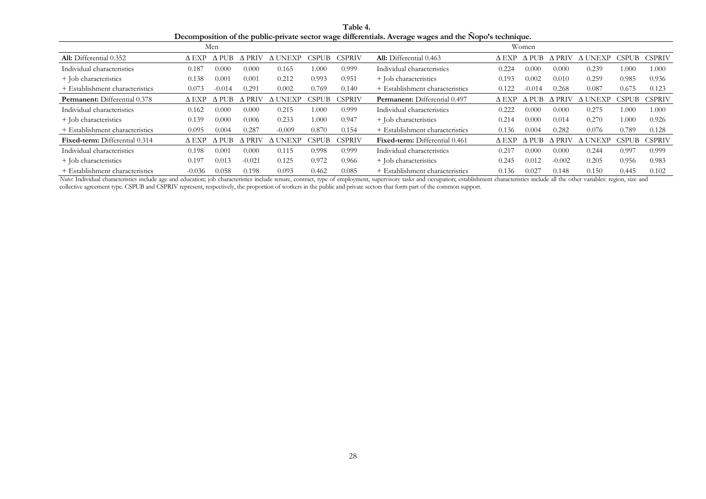|                                      |              |          |          |                |              |               | Decomposition of the public-private sector wage differentials. Average wages and the Nopo's technique. |        |          |          |                |       |               |
|--------------------------------------|--------------|----------|----------|----------------|--------------|---------------|--------------------------------------------------------------------------------------------------------|--------|----------|----------|----------------|-------|---------------|
|                                      |              | Men      |          |                |              |               |                                                                                                        |        | Women    |          |                |       |               |
| All: Differential 0.352              | ΔEXP         | A PUB-   | A PRIV   | A UNEXP        | CSPUB        | <b>CSPRIV</b> | All: Differential 0.463                                                                                | A EXP  | A PUB    | A PRIV   | Δ UNEXP        | CSPUB | <b>CSPRIV</b> |
| Individual characteristics           | 0.187        | 0.000    | 0.000    | 0.165          | 1.000        | 0.999         | Individual characteristics                                                                             | 0.224  | 0.000    | 0.000    | 0.239          | 000.1 | 1.000         |
| + Job characteristics                | 0.138        | 0.001    | 0.001    | 0.212          | 0.993        | 0.951         | + Job characteristics                                                                                  | 0.193  | 0.002    | 0.010    | 0.259          | 0.985 | 0.936         |
| + Establishment characteristics      | 0.073        | $-0.014$ | 0.291    | 0.002          | 0.769        | 0.140         | + Establishment characteristics                                                                        | 0.122  | $-0.014$ | 0.268    | 0.087          | 0.675 | 0.123         |
| <b>Permanent:</b> Differential 0.378 | A EXP        | A PUB-   | A PRIV   | $\Delta$ UNEXP | CSPUB        | CSPRIV        | <b>Permanent:</b> Differential 0.497                                                                   | A EXP- | A PUB    | A PRIV   | $\Delta$ UNEXP | CSPUB | <b>CSPRIV</b> |
| Individual characteristics           | 0.162        | 0.000    | 0.000    | 0.215          | 1.000        | 0.999         | Individual characteristics                                                                             | 0.222  | 0.000    | 0.000    | 0.275          | 1.000 | 1.000         |
| + Job characteristics                | 0.139        | 0.000    | 0.006    | 0.233          | 1.000        | 0.947         | + Job characteristics                                                                                  | 0.214  | 0.000    | 0.014    | 0.270          | 1.000 | 0.926         |
| + Establishment characteristics      | 0.095        | 0.004    | 0.287    | $-0.009$       | 0.870        | 0.154         | + Establishment characteristics                                                                        | 0.136  | 0.004    | 0.282    | 0.076          | 0.789 | 0.128         |
| Fixed-term: Differential 0.314       | $\Delta$ EXP | A PUB-   | A PRIV   | Δ UNEXP        | <b>CSPUB</b> | <b>CSPRIV</b> | Fixed-term: Differential 0.461                                                                         | А ЕХР  | A PUB    | Δ PRIV   | $\Delta$ UNEXP | CSPUB | <b>CSPRIV</b> |
| Individual characteristics           | 0.198        | 0.001    | 0.000    | 0.115          | 0.998        | 0.999         | Individual characteristics                                                                             | 0.217  | 0.000    | 0.000    | 0.244          | 0.997 | 0.999         |
| + Job characteristics                | 0.197        | 0.013    | $-0.021$ | 0.125          | 0.972        | 0.966         | + Job characteristics                                                                                  | 0.245  | 0.012    | $-0.002$ | 0.205          | 0.956 | 0.983         |
| + Establishment characteristics      | $-0.036$     | 0.058    | 0.198    | 0.093          | 0.462        | 0.085         | + Establishment characteristics                                                                        | 0.136  | 0.027    | 0.148    | 0.150          | 0.445 | 0.102         |

**Table 4.** 

Notes Individual characteristics include age and education; job characteristics include tenure, contract, type of employment, supervisory tasks and occupation; establishment characteristics include all the other variables: collective agreement type. CSPUB and CSPRIV represent, respectively, the proportion of workers in the public and private sectors that form part of the common support.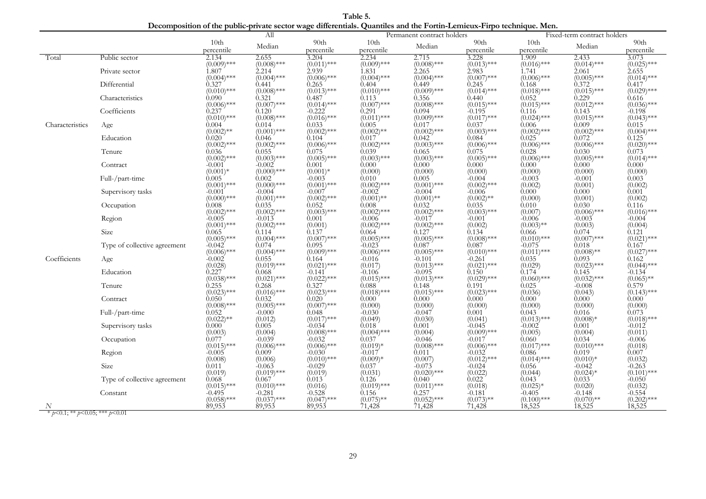**Table 5. Decomposition of the public-private sector wage differentials. Quantiles and the Fortin-Lemieux-Firpo technique. Men.** 

|                 |                              |                           | All                       |                     | Fixed-term contract holders<br>Permanent contract holders |                        |                     |                        |                     |                                   |
|-----------------|------------------------------|---------------------------|---------------------------|---------------------|-----------------------------------------------------------|------------------------|---------------------|------------------------|---------------------|-----------------------------------|
|                 |                              | 10th                      |                           | 90th                | 10th                                                      |                        | 90th                | 10th                   |                     | 90th                              |
|                 |                              | percentile                | Median                    | percentile          | percentile                                                | Median                 | percentile          | percentile             | Median              | percentile                        |
| Total           | Public sector                | 2.134                     | 2.655                     | 3.204               | 2.234                                                     | 2.715                  | 3.228               | 1.909                  | 2.433               | 3.073                             |
|                 |                              | $(0.009)$ ***             | $(0.008)$ ***             | $(0.011)$ ***       | $(0.009)$ ***                                             | $(0.008)$ ***          | $(0.013)$ ***       | $(0.016)$ ***          | $(0.014)$ ***       | $(0.025)$ ***                     |
|                 | Private sector               | 1.807                     | 2.214                     | 2.939               | 1.831                                                     | 2.265                  | 2.983               | 1.741                  | 2.061               | 2.655                             |
|                 |                              | $(0.004)$ ***             | $(0.004)$ ***             | $(0.006)$ ***       | $(0.004)$ ***                                             | $(0.004)$ ***          | $(0.007)$ ***       | $(0.006)$ ***          | $(0.005)$ ***       | $(0.014)$ ***                     |
|                 | Differential                 | 0.327                     | 0.441                     | 0.265               | 0.404                                                     | 0.449                  | 0.245               | 0.168                  | 0.372               | 0.417                             |
|                 |                              | $(0.010)$ ***             | $(0.008)$ ***             | $(0.013)$ ***       | $(0.010)$ ***                                             | $(0.009)$ ***          | $(0.014)$ ***       | $(0.018)$ ***          | $(0.015)$ ***       | $(0.029)$ ***                     |
|                 | Characteristics              | 0.090                     | 0.321                     | 0.487               | 0.113                                                     | 0.356                  | 0.440               | 0.052                  | 0.229               | 0.616                             |
|                 |                              | $(0.006)$ ***             | $(0.007)$ ***             | $(0.014)$ ***       | $(0.007)$ ***                                             | $(0.008)$ ***          | $(0.015)$ ***       | $(0.015)$ ***          | $(0.012)$ ***       | $(0.036)$ ***                     |
|                 | Coefficients                 | 0.237                     | 0.120                     | $-0.222$            | 0.291                                                     | 0.094                  | $-0.195$            | 0.116                  | 0.143               | $-0.198$                          |
|                 |                              | $(0.010)$ ***             | $(0.008)$ ***             | $(0.016)$ ***       | $(0.011)$ ***                                             | $(0.009)$ ***          | $(0.017)$ ***       | $(0.024)$ ***          | $(0.015)$ ***       | $(0.043)$ ***                     |
| Characteristics | Age                          | 0.004                     | 0.014                     | 0.033               | 0.005                                                     | 0.017                  | 0.037               | 0.006                  | 0.009               | 0.015                             |
|                 |                              | $(0.002)$ **              | $(0.001)$ ***             | $(0.002)$ ***       | $(0.002)$ **                                              | $(0.002)$ ***          | $(0.003)$ ***       | $(0.002)$ ***          | $(0.002)$ ***       | $(0.004)$ ***                     |
|                 | Education                    | 0.020                     | 0.046                     | 0.104               | 0.017                                                     | 0.042                  | 0.084               | 0.025                  | 0.072               | 0.125                             |
|                 |                              | $(0.002)$ ***             | $(0.002)$ ***             | $(0.006)$ ***       | $(0.002)$ ***                                             | $(0.003)$ ***          | $(0.006)$ ***       | $(0.006)$ ***          | $(0.006)$ ***       | $(0.020)$ ***                     |
|                 | Tenure                       | 0.036                     | 0.055                     | 0.075               | 0.039                                                     | 0.065                  | 0.075               | 0.028                  | 0.030               | 0.073                             |
|                 |                              | $(0.002)$ ***             | $(0.003)$ ***             | $(0.005)$ ***       | $(0.003)$ ***                                             | $(0.003)$ ***          | $(0.005)$ ***       | $(0.006)$ ***          | $(0.005)$ ***       | $(0.014)$ ***                     |
|                 | Contract                     | $-0.001$                  | $-0.002$                  | 0.001               | 0.000                                                     | 0.000                  | 0.000               | 0.000                  | 0.000               | 0.000                             |
|                 |                              | $(0.001)*$                | $(0.000)***$              | $(0.001)*$          | (0.000)                                                   | (0.000)                | (0.000)             | (0.000)                | (0.000)             | (0.000)                           |
|                 | Full-/part-time              | 0.005                     | 0.002                     | $-0.003$            | 0.010                                                     | 0.005                  | $-0.004$            | $-0.003$               | $-0.001$            | 0.003                             |
|                 |                              | $(0.001)$ ***             | $(0.000)$ ***             | $(0.001)$ ***       | $(0.002)$ ***                                             | $(0.001)$ ***          | $(0.002)$ ***       | (0.002)                | (0.001)             | (0.002)                           |
|                 | Supervisory tasks            | $-0.001$                  | $-0.004$                  | $-0.007$            | $-0.002$                                                  | $-0.004$               | $-0.006$            | 0.000                  | 0.000               |                                   |
|                 |                              | $(0.000)$ ***             | $(0.001)$ ***             | $(0.002)$ ***       | $(0.001)$ **                                              | $(0.001)$ **           | $(0.002)$ **        | (0.000)                | (0.001)             | (0.002)                           |
|                 | Occupation                   | 0.008                     | 0.035                     | 0.052               | 0.008                                                     | 0.032                  | 0.035               | 0.010                  | 0.030               | 0.116                             |
|                 |                              | $(0.002)$ ***             | $(0.002)$ ***             | $(0.003)$ ***       | $(0.002)$ ***                                             | $(0.002)$ ***          | $(0.003)$ ***       | (0.007)                | $(0.006)$ ***       | $(0.016)$ ***                     |
|                 | Region                       | $-0.005$                  | $-0.013$                  | 0.001               | $-0.006$                                                  | $-0.017$               | $-0.001$            | $-0.006$               | $-0.003$            | $-0.004$                          |
|                 | Size                         | $(0.001)$ ***<br>0.065    | $(0.002)$ ***<br>0.114    | (0.001)<br>0.137    | $(0.002)$ ***<br>0.064                                    | $(0.002)$ ***<br>0.127 | (0.002)<br>0.134    | $(0.003)$ **<br>0.066  | (0.003)<br>0.074    | $(0.004)$<br>0.121                |
|                 |                              | $(0.005)$ ***             | $(0.004)$ ***             | $(0.007)$ ***       | $(0.005)$ ***                                             | $(0.005)$ ***          | $(0.008)$ ***       | $(0.010)$ ***          | $(0.007)$ ***       | $(0.021)$ ***                     |
|                 | Type of collective agreement | $-0.042$                  | 0.074                     | 0.095               | $-0.023$                                                  | 0.087                  | 0.087               | $-0.075$               | 0.018               | 0.167                             |
|                 |                              | $(0.006)$ ***             | $(0.004)$ ***             | $(0.009)$ ***       | $(0.006)$ ***                                             | $(0.005)$ ***          | $(0.010)$ ***       | $(0.011)$ ***          | $(0.008)$ **        | $(0.027)$ ***                     |
| Coefficients    | Age                          | $-0.002$                  | 0.055                     | 0.164               | $-0.016$                                                  | $-0.101$               | $-0.261$            | 0.035                  | 0.093               | 0.162                             |
|                 |                              | (0.028)                   | $(0.019)$ ***             | $(0.021)$ ***       | (0.017)                                                   | $(0.013)$ ***          | $(0.021)$ ***       | (0.029)                | $(0.023)$ ***       | $(0.044)$ ***                     |
|                 | Education                    | 0.227                     | 0.068                     | $-0.141$            | $-0.106$                                                  | $-0.095$               | 0.150               | 0.174                  | 0.145               | $-0.134$                          |
|                 |                              | $(0.038)$ ***             | $(0.021)$ ***             | $(0.022)$ ***       | $(0.015)$ ***                                             | $(0.013)$ ***          | $(0.029)$ ***       | $(0.060)$ ***          | $(0.032)$ ***       | $(0.065)$ **                      |
|                 | Tenure                       | 0.255                     | 0.268                     | 0.327               | 0.088                                                     | 0.148                  | 0.191               | 0.025                  | $-0.008$            | 0.579                             |
|                 |                              | $(0.023)$ ***             | $(0.016)$ ***             | $(0.023)$ ***       | $(0.018)$ ***                                             | $(0.015)$ ***          | $(0.023)$ ***       | (0.036)                | (0.043)             | $(0.143)$ ***                     |
|                 | Contract                     | 0.050                     | 0.032                     | 0.020               | 0.000                                                     | 0.000                  | 0.000               | 0.000                  | 0.000               | 0.000                             |
|                 |                              | $(0.008)$ ***             | $(0.005)$ ***             | $(0.007)$ ***       | (0.000)                                                   | (0.000)                | (0.000)             | (0.000)                | (0.000)             | (0.000)                           |
|                 | Full-/part-time              | 0.052                     | $-0.000$                  | 0.048               | $-0.030$                                                  | $-0.047$               | 0.001               | 0.043                  | 0.016               | 0.073                             |
|                 |                              | $(0.022)$ **              | (0.012)                   | $(0.017)$ ***       | (0.049)                                                   | (0.030)                | (0.041)             | $(0.013)$ ***          | $(0.008)*$          | $(0.018)$ ***                     |
|                 | Supervisory tasks            | 0.000                     | 0.005                     | $-0.034$            | 0.018                                                     | 0.001                  | $-0.045$            | $-0.002$               | 0.001               | $-0.012$                          |
|                 |                              | (0.003)                   | (0.004)                   | $(0.008)$ ***       | $(0.004)$ ***                                             | (0.004)                | $(0.009)$ ***       | (0.005)                | (0.004)             | (0.011)                           |
|                 | Occupation                   | 0.077                     | $-0.039$                  | $-0.032$            | 0.037                                                     | $-0.046$               | $-0.017$            | 0.060                  | 0.034               |                                   |
|                 |                              | $(0.015)$ ***             | $(0.006)$ ***             | $(0.006)$ ***       | $(0.019)*$                                                | $(0.008)$ ***          | $(0.006)$ ***       | $(0.017)$ ***          | $(0.010)$ ***       | $(0.018)$<br>0.007                |
|                 | Region                       | $-0.005$                  | 0.009                     | $-0.030$            | $-0.017$                                                  | 0.011                  | $-0.032$            | 0.086                  | 0.019               |                                   |
|                 |                              | (0.008)                   | (0.006)                   | $(0.010)$ ***       | $(0.009)*0.037$                                           | (0.007)                | $(0.012)$ ***       | $(0.014)$ ***          | $(0.010)*$          | (0.032)                           |
|                 | Size                         | 0.011                     | $-0.063$                  | $-0.029$            |                                                           | $-0.073$               | $-0.024$            | 0.056                  | $-0.042$            | $-0.263$                          |
|                 |                              | (0.019)                   | $(0.019)$ ***             | (0.019)             | (0.031)                                                   | $(0.020)$ ***          | (0.022)             | (0.044)                | $(0.024)$ *         | $(0.101)$ ***                     |
|                 | Type of collective agreement | 0.068                     | 0.067                     | 0.013               | 0.126                                                     | 0.040                  | 0.022               | 0.043                  | 0.033               | $-0.050$<br>$(0.032)$<br>$-0.554$ |
|                 | Constant                     | $(0.015)$ ***<br>$-0.495$ | $(0.010)$ ***<br>$-0.281$ | (0.016)<br>$-0.528$ | $(0.019)$ ***<br>0.156                                    | $(0.011)$ ***<br>0.257 | (0.018)<br>$-0.181$ | $(0.025)*$<br>$-0.405$ | (0.020)<br>$-0.148$ |                                   |
|                 |                              | $(0.058)$ ***             | $(0.037)$ ***             | $(0.047)$ ***       | $(0.075)$ **                                              | $(0.052)$ ***          | $(0.073)$ **        | $(0.100)$ ***          | $(0.070)$ **        | $(0.202)$ ***                     |
| N               |                              | 89,953                    | 89,953                    | 89,953              | 71,428                                                    | 71,428                 | 71,428              | 18,525                 | 18,525              | 18,525                            |
|                 |                              |                           |                           |                     |                                                           |                        |                     |                        |                     |                                   |

 $*_{p<0.1;}$  \*\*  $_{p<0.05;}$  \*\*\*  $_{p<0.01}$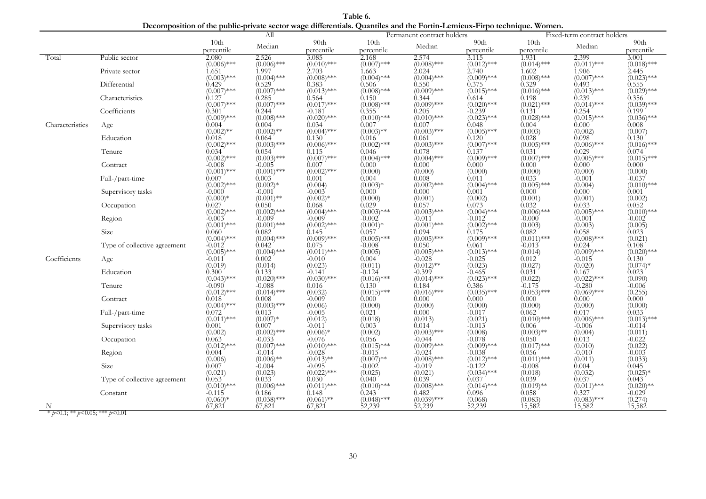**Table 6. Decomposition of the public-private sector wage differentials. Quantiles and the Fortin-Lemieux-Firpo technique. Women.** 

|                 |                              |                        | All                 |                     |                     | Fixed-term contract holders<br>Permanent contract holders |                     |                        |                        |                                  |
|-----------------|------------------------------|------------------------|---------------------|---------------------|---------------------|-----------------------------------------------------------|---------------------|------------------------|------------------------|----------------------------------|
|                 |                              | 10th                   |                     | 90 <sub>th</sub>    | 10th                |                                                           | 90th                | 10th                   |                        | 90 <sub>th</sub>                 |
|                 |                              | percentile             | Median              | percentile          | percentile          | Median                                                    | percentile          | percentile             | Median                 | percentile                       |
| Total           | Public sector                | 2.080                  | 2.526               | 3.085               | 2.168               | 2.574                                                     | 3.115               | 1.931                  | 2.399                  | 3.001                            |
|                 |                              | $(0.006)$ ***          | $(0.006)$ ***       | $(0.010)$ ***       | $(0.007)$ ***       | $(0.008)$ ***                                             | $(0.012)$ ***       | $(0.014)$ ***          | $(0.011)$ ***          | $(0.018)$ ***                    |
|                 | Private sector               | 1.651                  | 1.997               | 2.703               | 1.663               | 2.024                                                     | 2.740               | 1.602                  | 1.906                  | 2.445                            |
|                 |                              | $(0.003)$ ***          | $(0.004)$ ***       | $(0.008)$ ***       | $(0.004)$ ***       | $(0.004)$ ***                                             | $(0.009)$ ***       | $(0.008)$ ***          | $(0.007)$ ***          | $(0.023)$ ***                    |
|                 | Differential                 | 0.429                  | 0.529               | 0.383               | 0.506               | 0.550                                                     | 0.375               | 0.329                  | 0.493                  | 0.555                            |
|                 |                              | $(0.007)$ ***          | $(0.007)$ ***       | $(0.013)$ ***       | $(0.008)$ ***       | $(0.009)$ ***                                             | $(0.015)$ ***       | $(0.016)$ ***          | $(0.013)$ ***          | $(0.029)$ ***                    |
|                 | Characteristics              | 0.127                  | 0.285               | 0.564               | 0.150               | 0.344                                                     | 0.614               | 0.198                  | 0.239                  | 0.356                            |
|                 |                              | $(0.007)$ ***          | $(0.007)$ ***       | $(0.017)$ ***       | $(0.008)$ ***       | $(0.009)$ ***                                             | $(0.020)$ ***       | $(0.021)$ ***          | $(0.014)$ ***          | $(0.039)$ ***                    |
|                 | Coefficients                 | 0.301                  | 0.244               | $-0.181$            | 0.355               | 0.205                                                     | $-0.239$            | 0.131                  | 0.254                  | 0.199                            |
|                 |                              | $(0.009)$ ***          | $(0.008)$ ***       | $(0.020)$ ***       | $(0.010)$ ***       | $(0.010)$ ***                                             | $(0.023)$ ***       | $(0.028)$ ***          | $(0.015)$ ***          | $(0.036)$ ***                    |
| Characteristics | Age                          | 0.004                  | 0.004               | 0.034               | 0.007               | 0.007                                                     | 0.048               | 0.004                  | 0.000                  | 0.008                            |
|                 |                              | $(0.002)$ **           | $(0.002)$ **        | $(0.004)$ ***       | $(0.003)$ **        | $(0.003)$ ***                                             | $(0.005)$ ***       | (0.003)                | (0.002)                | (0.007)                          |
|                 | Education                    | 0.018                  | 0.064               | 0.130               | 0.016               | 0.061                                                     | 0.120               | 0.028                  | 0.098                  | 0.130                            |
|                 |                              | $(0.002)$ ***          | $(0.003)$ ***       | $(0.006)$ ***       | $(0.002)$ ***       | $(0.003)$ ***                                             | $(0.007)$ ***       | $(0.005)$ ***          | $(0.006)$ ***          | $(0.016)$ ***                    |
|                 | Tenure                       | 0.034                  | 0.054               | 0.115               | 0.046               | 0.078                                                     | 0.137               | 0.031                  | 0.029                  | 0.074                            |
|                 |                              | $(0.002)$ ***          | $(0.003)$ ***       | $(0.007)$ ***       | $(0.004)$ ***       | $(0.004)$ ***                                             | $(0.009)$ ***       | $(0.007)$ ***          | $(0.005)$ ***          | $(0.015)$ ***                    |
|                 | Contract                     | $-0.008$               | $-0.005$            | 0.007               | 0.000               | 0.000                                                     | 0.000               | 0.000                  | 0.000                  | 0.000                            |
|                 |                              | $(0.001)$ ***<br>0.007 | $(0.001)$ ***       | $(0.002)$ ***       | (0.000)             | (0.000)<br>0.008                                          | (0.000)<br>0.011    | (0.000)<br>0.033       | (0.000)<br>$-0.001$    | $(0.000)$<br>-0.037              |
|                 | Full-/part-time              | $(0.002)$ ***          | 0.003<br>$(0.002)*$ | 0.001               | 0.004               | $(0.002)$ ***                                             | $(0.004)$ ***       | $(0.005)$ ***          | (0.004)                | $(0.010)$ ***                    |
|                 | Supervisory tasks            | $-0.000$               | $-0.001$            | $(0.004)$<br>-0.003 | $(0.003)*$<br>0.000 | 0.000                                                     | 0.001               | 0.000                  | 0.000                  | 0.001                            |
|                 |                              | $(0.000)*$             | $(0.001)$ **        | $(0.002)*$          | (0.000)             | (0.001)                                                   | (0.002)             | (0.001)                | (0.001)                | (0.002)                          |
|                 | Occupation                   | 0.027                  | 0.050               | 0.068               | 0.029               | 0.057                                                     | 0.073               | 0.032                  | 0.033                  | 0.052                            |
|                 |                              | $(0.002)$ ***          | $(0.002)$ ***       | $(0.004)$ ***       | $(0.003)$ ***       | $(0.003)$ ***                                             | $(0.004)$ ***       | $(0.006)$ ***          | $(0.005)$ ***          | $(0.010)$ ***                    |
|                 | Region                       | $-0.003$               | $-0.009$            | $-0.009$            | $-0.002$            | $-0.011$                                                  | $-0.012$            | $-0.000$               | $-0.001$               | $-0.002$                         |
|                 |                              | $(0.001)$ ***          | $(0.001)$ ***       | $(0.002)$ ***       | $(0.001)*$          | $(0.001)$ ***                                             | $(0.002)$ ***       | (0.003)                | (0.003)                |                                  |
|                 | Size                         | 0.060                  | 0.082               | 0.145               | 0.057               | 0.094                                                     | 0.175               | 0.082                  | 0.058                  | $(0.005)$<br>0.023               |
|                 |                              | $(0.004)$ ***          | $(0.004)$ ***       | $(0.009)$ ***       | $(0.005)$ ***       | $(0.005)$ ***                                             | $(0.009)$ ***       | $(0.011)$ ***          | $(0.008)$ ***          |                                  |
|                 | Type of collective agreement | $-0.012$               | 0.042               | 0.075               | $-0.008$            | 0.050                                                     | 0.061               | $-0.013$               | 0.024                  | $(0.021)$<br>0.108               |
|                 |                              | $(0.005)$ ***          | $(0.004)$ ***       | $(0.011)$ ***       | (0.005)             | $(0.005)$ ***                                             | $(0.013)$ ***       | (0.014)                | $(0.009)$ ***          | $(0.020)$ ***                    |
| Coefficients    | Age                          | $-0.011$               | 0.002               | $-0.010$            | 0.004               | $-0.028$                                                  | $-0.025$            | 0.012                  | $-0.015$               | 0.130                            |
|                 |                              | (0.019)                | (0.014)             | (0.023)             | (0.011)             | $(0.012)$ **                                              | (0.023)             | (0.027)                | (0.020)                | $(0.074)*$                       |
|                 | Education                    | 0.300                  | 0.133               | $-0.141$            | $-0.124$            | $-0.399$                                                  | $-0.465$            | 0.031                  | 0.167                  | 0.023                            |
|                 |                              | $(0.043)$ ***          | $(0.020)$ ***       | $(0.030)$ ***       | $(0.016)$ ***       | $(0.014)$ ***                                             | $(0.023)$ ***       | (0.022)                | $(0.022)$ ***          | (0.090)                          |
|                 | Tenure                       | $-0.090$               | $-0.088$            | 0.016               | 0.130               | 0.184                                                     | 0.386               | $-0.175$               | $-0.280$               | $-0.006$                         |
|                 |                              | $(0.012)$ ***          | $(0.014)$ ***       | (0.032)             | $(0.015)$ ***       | $(0.016)$ ***                                             | $(0.035)$ ***       | $(0.053)$ ***          | $(0.069)$ ***          | (0.255)                          |
|                 | Contract                     | 0.018                  | 0.008               | $-0.009$            | 0.000               | 0.000                                                     | 0.000               | 0.000                  | 0.000                  | 0.000                            |
|                 |                              | $(0.004)$ ***          | $(0.003)$ ***       | (0.006)<br>$-0.005$ | (0.000)             | (0.000)                                                   | (0.000)             | (0.000)                | (0.000)                | (0.000)                          |
|                 | Full-/part-time              | 0.072<br>$(0.011)$ *** | 0.013<br>$(0.007)*$ |                     | 0.021               | 0.000<br>(0.013)                                          | $-0.017$            | 0.062<br>$(0.010)$ *** | 0.017<br>$(0.006)$ *** | 0.033<br>$(0.013)$ ***           |
|                 |                              | 0.001                  | 0.007               | (0.012)<br>$-0.011$ | (0.018)<br>0.003    | 0.014                                                     | (0.021)<br>$-0.013$ | 0.006                  | $-0.006$               | $-0.014$                         |
|                 | Supervisory tasks            | (0.002)                | $(0.002)$ ***       | $(0.006)*$          | (0.002)             | $(0.003)$ ***                                             | (0.008)             | $(0.003)$ **           | (0.004)                |                                  |
|                 | Occupation                   | 0.063                  | $-0.033$            | $-0.076$            | 0.056               | $-0.044$                                                  | $-0.078$            | 0.050                  | 0.013                  | (0.011)                          |
|                 |                              | $(0.012)$ ***          | $(0.007)$ ***       | $(0.010)$ ***       | $(0.015)$ ***       | $(0.009)$ ***                                             | $(0.009)$ ***       | $(0.017)$ ***          | (0.010)                |                                  |
|                 | Region                       | 0.004                  | $-0.014$            | $-0.028$            | $-0.015$            | $-0.024$                                                  | $-0.038$            | 0.056                  | $-0.010$               | (0.022)                          |
|                 |                              | (0.006)                | $(0.006)$ **        | $(0.013)$ **        | $(0.007)$ **        | $(0.008)$ ***                                             | $(0.012)$ ***       | $(0.011)$ ***          | (0.011)                |                                  |
|                 | Size                         | 0.007                  | $-0.004$            | $-0.095$            | $-0.002$            | $-0.019$                                                  | $-0.122$            | $-0.008$               | 0.004                  | $(0.033)$<br>0.045<br>$(0.025)*$ |
|                 |                              | (0.021)                | (0.023)             | $(0.022)$ ***       | (0.025)             | (0.021)                                                   | $(0.034)$ ***       | (0.018)                | (0.032)                |                                  |
|                 | Type of collective agreement | 0.053                  | 0.033               | 0.030               | 0.040               | 0.039                                                     | 0.037               | 0.039                  | 0.037                  | 0.043                            |
|                 |                              | $(0.010)$ ***          | $(0.006)$ ***       | $(0.011)$ ***       | $(0.010)$ ***       | $(0.008)$ ***                                             | $(0.014)$ ***       | $(0.019)$ **           | $(0.011)$ ***          | $(0.020)$ **                     |
|                 | Constant                     | $-0.115$               | 0.186               | 0.148               | 0.243               | 0.482                                                     | 0.096               | 0.058                  | 0.327                  |                                  |
|                 |                              | $(0.060)*$             | $(0.038)$ ***       | $(0.061)$ **        | $(0.048)$ ***       | $(0.039)$ ***                                             | (0.068)             | (0.083)                | $(0.083)$ ***          | (0.274)                          |
| N               |                              | 67,821                 | 67,821              | 67,821              | 52,239              | 52.239                                                    | 52,239              | 15,582                 | 15,582                 | 15,582                           |

 $*_{p<0.1;}$  \*\*  $p<0.05;$  \*\*\*  $p<0.01$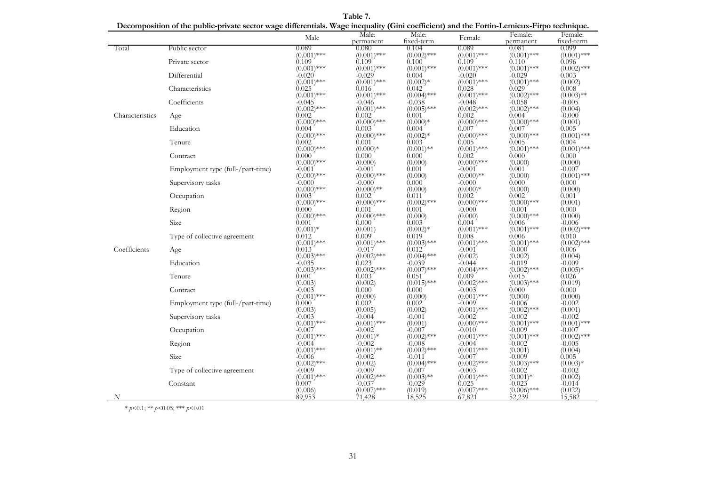|                 | Decomposition of the public-private sector wage differentials. Wage inequality (Gini coefficient) and the Fortin-Lemieux-Firpo technique. |               |               |               |               |               |               |
|-----------------|-------------------------------------------------------------------------------------------------------------------------------------------|---------------|---------------|---------------|---------------|---------------|---------------|
|                 |                                                                                                                                           | Male          | Male:         | Male:         | Female        | Female:       | Female:       |
|                 |                                                                                                                                           |               | permanent     | fixed-term    |               | permanent     | fixed-term    |
| Total           | Public sector                                                                                                                             | 0.089         | 0.080         | 0.104         | 0.089         | 0.081         | 0.099         |
|                 |                                                                                                                                           | $(0.001)$ *** | $(0.001)$ *** | $(0.002)$ *** | $(0.001)$ *** | $(0.001)$ *** | $(0.001)$ *** |
|                 | Private sector                                                                                                                            | 0.109         | 0.109         | 0.100         | 0.109         | 0.110         | 0.096         |
|                 |                                                                                                                                           | $(0.001)$ *** | $(0.001)$ *** | $(0.001)$ *** | $(0.001)$ *** | $(0.001)$ *** | $(0.002)$ *** |
|                 | Differential                                                                                                                              | $-0.020$      | $-0.029$      | 0.004         | $-0.020$      | $-0.029$      | 0.003         |
|                 |                                                                                                                                           | $(0.001)$ *** | $(0.001)$ *** | $(0.002)*$    | $(0.001)$ *** | $(0.001)$ *** | (0.002)       |
|                 | Characteristics                                                                                                                           | 0.025         | 0.016         | 0.042         | 0.028         | 0.029         | 0.008         |
|                 |                                                                                                                                           | $(0.001)$ *** | $(0.001)$ *** | $(0.004)$ *** | $(0.001)$ *** | $(0.002)$ *** | $(0.003)$ **  |
|                 | Coefficients                                                                                                                              | $-0.045$      | $-0.046$      | $-0.038$      | $-0.048$      | $-0.058$      | $-0.005$      |
|                 |                                                                                                                                           | $(0.002)$ *** | $(0.001)$ *** | $(0.005)$ *** | $(0.002)$ *** | $(0.002)$ *** | (0.004)       |
| Characteristics | Age                                                                                                                                       | 0.002         | 0.002         | 0.001         | 0.002         | 0.004         | $-0.000$      |
|                 |                                                                                                                                           | $(0.000)$ *** | $(0.000)$ *** | $(0.000)*$    | $(0.000)$ *** | $(0.000)$ *** | (0.001)       |
|                 | Education                                                                                                                                 | 0.004         | 0.003         | 0.004         | 0.007         | 0.007         | 0.005         |
|                 |                                                                                                                                           | $(0.000)$ *** | $(0.000)$ *** | $(0.002)*$    | $(0.000)$ *** | $(0.000)$ *** | $(0.001)$ *** |
|                 | Tenure                                                                                                                                    | 0.002         | 0.001         | 0.003         | 0.005         | 0.005         | 0.004         |
|                 |                                                                                                                                           | $(0.000)$ *** | $(0.000)*$    | $(0.001)$ **  | $(0.001)$ *** | $(0.001)$ *** | $(0.001)$ *** |
|                 | Contract                                                                                                                                  | 0.000         | 0.000         | 0.000         | 0.002         | 0.000         | 0.000         |
|                 |                                                                                                                                           | $(0.000)$ *** | (0.000)       | (0.000)       | $(0.000)$ *** | (0.000)       | (0.000)       |
|                 | Employment type (full-/part-time)                                                                                                         | $-0.001$      | $-0.001$      | 0.001         | $-0.001$      | 0.001         | $-0.007$      |
|                 |                                                                                                                                           | $(0.000)$ *** | $(0.000)$ *** | (0.000)       | $(0.000)$ **  | (0.000)       | $(0.001)$ *** |
|                 | Supervisory tasks                                                                                                                         | $-0.000$      | $-0.000$      | 0.000         | $-0.000$      | 0.000         | 0.000         |
|                 |                                                                                                                                           | $(0.000)$ *** | $(0.000)**$   | (0.000)       | $(0.000)*$    | (0.000)       | (0.000)       |
|                 | Occupation                                                                                                                                | 0.003         | 0.002         | 0.011         | 0.002         | 0.002         | 0.001         |
|                 |                                                                                                                                           | $(0.000)$ *** | $(0.000)***$  | $(0.002)$ *** | $(0.000)$ *** | $(0.000)$ *** | (0.001)       |
|                 | Region                                                                                                                                    | 0.000         | 0.001         | 0.001         | $-0.000$      | $-0.001$      | 0.000         |
|                 |                                                                                                                                           | $(0.000)$ *** | $(0.000)$ *** | (0.000)       | (0.000)       | $(0.000)$ *** | (0.000)       |
|                 | Size                                                                                                                                      | 0.001         | 0.000         | 0.003         | 0.004         | 0.006         | $-0.006$      |
|                 |                                                                                                                                           | $(0.001)*$    | (0.001)       | $(0.002)*$    | $(0.001)$ *** | $(0.001)$ *** | $(0.002)$ *** |
|                 | Type of collective agreement                                                                                                              | 0.012         | 0.009         | 0.019         | 0.008         | 0.006         | 0.010         |
|                 |                                                                                                                                           | $(0.001)$ *** | $(0.001)$ *** | $(0.003)$ *** | $(0.001)$ *** | $(0.001)$ *** | $(0.002)$ *** |
| Coefficients    | Age                                                                                                                                       | 0.013         | $-0.017$      | 0.012         | $-0.001$      | $-0.000$      | 0.006         |
|                 |                                                                                                                                           | $(0.003)$ *** | $(0.002)$ *** | $(0.004)$ *** | (0.002)       | (0.002)       | (0.004)       |
|                 | Education                                                                                                                                 | $-0.035$      | 0.023         | $-0.039$      | $-0.044$      | $-0.019$      | $-0.009$      |
|                 |                                                                                                                                           | $(0.003)$ *** | $(0.002)$ *** | $(0.007)$ *** | $(0.004)$ *** | $(0.002)$ *** | $(0.005)*$    |
|                 | Tenure                                                                                                                                    | 0.001         | 0.003         | 0.051         | 0.009         | 0.015         | 0.026         |
|                 |                                                                                                                                           | (0.003)       | (0.002)       | $(0.015)$ *** | $(0.002)$ *** | $(0.003)$ *** | (0.019)       |
|                 | Contract                                                                                                                                  | $-0.003$      | 0.000         | 0.000         | $-0.003$      | 0.000         | 0.000         |
|                 |                                                                                                                                           | $(0.001)$ *** | (0.000)       | (0.000)       | $(0.001)$ *** | (0.000)       | (0.000)       |
|                 | Employment type (full-/part-time)                                                                                                         | 0.000         | 0.002         | 0.002         | $-0.009$      | $-0.006$      | $-0.002$      |
|                 |                                                                                                                                           | (0.003)       | (0.005)       | (0.002)       | $(0.001)$ *** | $(0.002)$ *** | (0.001)       |
|                 | Supervisory tasks                                                                                                                         | $-0.003$      | $-0.004$      | $-0.001$      | $-0.002$      | $-0.002$      | $-0.002$      |
|                 |                                                                                                                                           | $(0.001)$ *** | $(0.001)$ *** | (0.001)       | $(0.000)$ *** | $(0.001)$ *** | $(0.001)$ *** |
|                 | Occupation                                                                                                                                | $-0.007$      | $-0.002$      | $-0.007$      | $-0.010$      | $-0.009$      | $-0.007$      |
|                 |                                                                                                                                           | $(0.001)$ *** | $(0.001)*$    | $(0.002)$ *** | $(0.001)$ *** | $(0.001)$ *** | $(0.002)$ *** |
|                 | Region                                                                                                                                    | $-0.004$      | $-0.002$      | $-0.008$      | $-0.004$      | $-0.002$      | $-0.005$      |
|                 |                                                                                                                                           | $(0.001)$ *** | $(0.001)$ **  | $(0.002)$ *** | $(0.001)$ *** | (0.001)       | (0.004)       |
|                 | Size                                                                                                                                      | $-0.006$      | $-0.002$      | $-0.011$      | $-0.007$      | $-0.009$      | 0.005         |
|                 |                                                                                                                                           | $(0.002)$ *** | (0.002)       | $(0.004)$ *** | $(0.002)$ *** | $(0.003)$ *** |               |
|                 |                                                                                                                                           |               | $-0.009$      | $-0.007$      |               | $-0.002$      | $(0.003)*$    |
|                 | Type of collective agreement                                                                                                              | $-0.009$      |               |               | $-0.003$      |               | $-0.002$      |
|                 |                                                                                                                                           | $(0.001)$ *** | $(0.002)$ *** | $(0.003)$ **  | $(0.001)$ *** | $(0.001)*$    | (0.002)       |
|                 | Constant                                                                                                                                  | 0.007         | $-0.037$      | $-0.029$      | 0.025         | $-0.023$      | $-0.014$      |
|                 |                                                                                                                                           | (0.006)       | $(0.007)$ *** | (0.019)       | $(0.007)$ *** | $(0.006)$ *** | (0.022)       |
| N               |                                                                                                                                           | 89.953        | 71.428        | 18.525        | 67,821        | 52.239        | 15.582        |

**Table 7.** 

 $\overline{\phantom{1}}$  \* *p*<0.1; \*\* *p*<0.05; \*\*\* *p*<0.01